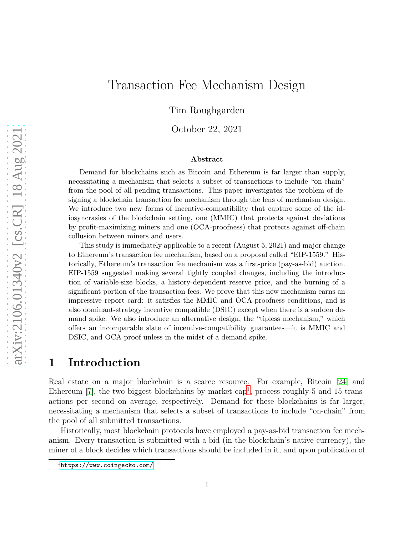# Transaction Fee Mechanism Design

Tim Roughgarden

October 22, 2021

#### Abstract

Demand for blockchains such as Bitcoin and Ethereum is far larger than supply, necessitating a mechanism that selects a subset of transactions to include "on-chain" from the pool of all pending transactions. This paper investigates the problem of designing a blockchain transaction fee mechanism through the lens of mechanism design. We introduce two new forms of incentive-compatibility that capture some of the idiosyncrasies of the blockchain setting, one (MMIC) that protects against deviations by profit-maximizing miners and one (OCA-proofness) that protects against off-chain collusion between miners and users.

This study is immediately applicable to a recent (August 5, 2021) and major change to Ethereum's transaction fee mechanism, based on a proposal called "EIP-1559." Historically, Ethereum's transaction fee mechanism was a first-price (pay-as-bid) auction. EIP-1559 suggested making several tightly coupled changes, including the introduction of variable-size blocks, a history-dependent reserve price, and the burning of a significant portion of the transaction fees. We prove that this new mechanism earns an impressive report card: it satisfies the MMIC and OCA-proofness conditions, and is also dominant-strategy incentive compatible (DSIC) except when there is a sudden demand spike. We also introduce an alternative design, the "tipless mechanism," which offers an incomparable slate of incentive-compatibility guarantees—it is MMIC and DSIC, and OCA-proof unless in the midst of a demand spike.

## 1 Introduction

Real estate on a major blockchain is a scarce resource. For example, Bitcoin [\[24\]](#page-28-0) and Ethereum  $[7]$ , the two biggest blockchains by market cap<sup>1</sup>, process roughly 5 and 15 transactions per second on average, respectively. Demand for these blockchains is far larger, necessitating a mechanism that selects a subset of transactions to include "on-chain" from the pool of all submitted transactions.

Historically, most blockchain protocols have employed a pay-as-bid transaction fee mechanism. Every transaction is submitted with a bid (in the blockchain's native currency), the miner of a block decides which transactions should be included in it, and upon publication of

<sup>1</sup><https://www.coingecko.com/>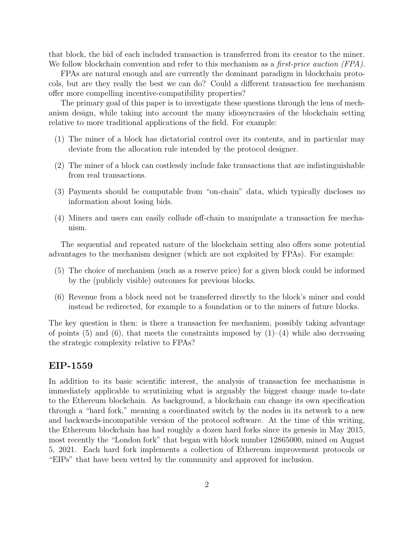that block, the bid of each included transaction is transferred from its creator to the miner. We follow blockchain convention and refer to this mechanism as a *first-price auction (FPA)*.

FPAs are natural enough and are currently the dominant paradigm in blockchain protocols, but are they really the best we can do? Could a different transaction fee mechanism offer more compelling incentive-compatibility properties?

The primary goal of this paper is to investigate these questions through the lens of mechanism design, while taking into account the many idiosyncrasies of the blockchain setting relative to more traditional applications of the field. For example:

- (1) The miner of a block has dictatorial control over its contents, and in particular may deviate from the allocation rule intended by the protocol designer.
- (2) The miner of a block can costlessly include fake transactions that are indistinguishable from real transactions.
- (3) Payments should be computable from "on-chain" data, which typically discloses no information about losing bids.
- (4) Miners and users can easily collude off-chain to manipulate a transaction fee mechanism.

The sequential and repeated nature of the blockchain setting also offers some potential advantages to the mechanism designer (which are not exploited by FPAs). For example:

- (5) The choice of mechanism (such as a reserve price) for a given block could be informed by the (publicly visible) outcomes for previous blocks.
- (6) Revenue from a block need not be transferred directly to the block's miner and could instead be redirected, for example to a foundation or to the miners of future blocks.

The key question is then: is there a transaction fee mechanism, possibly taking advantage of points (5) and (6), that meets the constraints imposed by  $(1)-(4)$  while also decreasing the strategic complexity relative to FPAs?

## EIP-1559

In addition to its basic scientific interest, the analysis of transaction fee mechanisms is immediately applicable to scrutinizing what is arguably the biggest change made to-date to the Ethereum blockchain. As background, a blockchain can change its own specification through a "hard fork," meaning a coordinated switch by the nodes in its network to a new and backwards-incompatible version of the protocol software. At the time of this writing, the Ethereum blockchain has had roughly a dozen hard forks since its genesis in May 2015, most recently the "London fork" that began with block number 12865000, mined on August 5, 2021. Each hard fork implements a collection of Ethereum improvement protocols or "EIPs" that have been vetted by the community and approved for inclusion.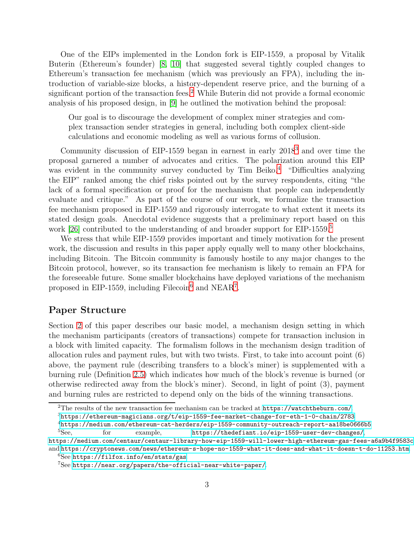One of the EIPs implemented in the London fork is EIP-1559, a proposal by Vitalik Buterin (Ethereum's founder) [\[8,](#page-26-1) [10\]](#page-27-0) that suggested several tightly coupled changes to Ethereum's transaction fee mechanism (which was previously an FPA), including the introduction of variable-size blocks, a history-dependent reserve price, and the burning of a significant portion of the transaction fees.<sup>2</sup> While Buterin did not provide a formal economic analysis of his proposed design, in [\[9\]](#page-26-2) he outlined the motivation behind the proposal:

Our goal is to discourage the development of complex miner strategies and complex transaction sender strategies in general, including both complex client-side calculations and economic modeling as well as various forms of collusion.

Community discussion of EIP-1559 began in earnest in early 2018<sup>3</sup> and over time the proposal garnered a number of advocates and critics. The polarization around this EIP was evident in the community survey conducted by Tim Beiko.<sup>4</sup> "Difficulties analyzing the EIP" ranked among the chief risks pointed out by the survey respondents, citing "the lack of a formal specification or proof for the mechanism that people can independently evaluate and critique." As part of the course of our work, we formalize the transaction fee mechanism proposed in EIP-1559 and rigorously interrogate to what extent it meets its stated design goals. Anecdotal evidence suggests that a preliminary report based on this work [\[26\]](#page-28-1) contributed to the understanding of and broader support for EIP-1559.<sup>5</sup>

We stress that while EIP-1559 provides important and timely motivation for the present work, the discussion and results in this paper apply equally well to many other blockchains, including Bitcoin. The Bitcoin community is famously hostile to any major changes to the Bitcoin protocol, however, so its transaction fee mechanism is likely to remain an FPA for the foreseeable future. Some smaller blockchains have deployed variations of the mechanism proposed in EIP-1559, including Filecoin<sup>6</sup> and NEAR<sup>7</sup>.

## Paper Structure

Section [2](#page-6-0) of this paper describes our basic model, a mechanism design setting in which the mechanism participants (creators of transactions) compete for transaction inclusion in a block with limited capacity. The formalism follows in the mechanism design tradition of allocation rules and payment rules, but with two twists. First, to take into account point (6) above, the payment rule (describing transfers to a block's miner) is supplemented with a burning rule (Definition [2.5\)](#page-8-0) which indicates how much of the block's revenue is burned (or otherwise redirected away from the block's miner). Second, in light of point (3), payment and burning rules are restricted to depend only on the bids of the winning transactions.

<sup>&</sup>lt;sup>2</sup>The results of the new transaction fee mechanism can be tracked at <https://watchtheburn.com/>.

<sup>3</sup><https://ethereum-magicians.org/t/eip-1559-fee-market-change-for-eth-1-0-chain/2783>

 $4$ <https://medium.com/ethereum-cat-herders/eip-1559-community-outreach-report-aa18be0666b5> <sup>5</sup>See, for example, <https://thedefiant.io/eip-1559-user-dev-changes/>,

<https://medium.com/centaur/centaur-library-how-eip-1559-will-lower-high-ethereum-gas-fees-a6a9b4f9583c>, and <https://cryptonews.com/news/ethereum-s-hope-no-1559-what-it-does-and-what-it-doesn-t-do-11253.htm>.

<sup>6</sup>See <https://filfox.info/en/stats/gas>.

<sup>7</sup>See <https://near.org/papers/the-official-near-white-paper/>.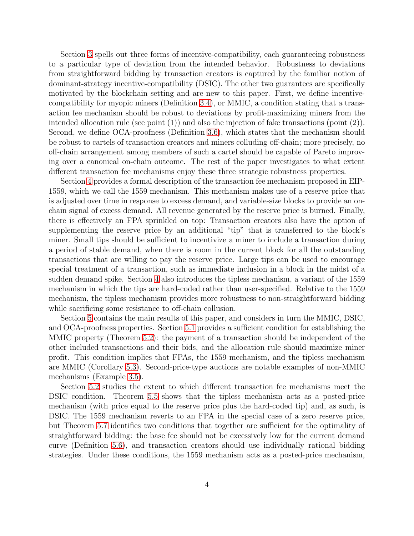Section [3](#page-9-0) spells out three forms of incentive-compatibility, each guaranteeing robustness to a particular type of deviation from the intended behavior. Robustness to deviations from straightforward bidding by transaction creators is captured by the familiar notion of dominant-strategy incentive-compatibility (DSIC). The other two guarantees are specifically motivated by the blockchain setting and are new to this paper. First, we define incentivecompatibility for myopic miners (Definition [3.4\)](#page-11-0), or MMIC, a condition stating that a transaction fee mechanism should be robust to deviations by profit-maximizing miners from the intended allocation rule (see point (1)) and also the injection of fake transactions (point (2)). Second, we define OCA-proofness (Definition [3.6\)](#page-12-0), which states that the mechanism should be robust to cartels of transaction creators and miners colluding off-chain; more precisely, no off-chain arrangement among members of such a cartel should be capable of Pareto improving over a canonical on-chain outcome. The rest of the paper investigates to what extent different transaction fee mechanisms enjoy these three strategic robustness properties.

Section [4](#page-13-0) provides a formal description of the transaction fee mechanism proposed in EIP-1559, which we call the 1559 mechanism. This mechanism makes use of a reserve price that is adjusted over time in response to excess demand, and variable-size blocks to provide an onchain signal of excess demand. All revenue generated by the reserve price is burned. Finally, there is effectively an FPA sprinkled on top: Transaction creators also have the option of supplementing the reserve price by an additional "tip" that is transferred to the block's miner. Small tips should be sufficient to incentivize a miner to include a transaction during a period of stable demand, when there is room in the current block for all the outstanding transactions that are willing to pay the reserve price. Large tips can be used to encourage special treatment of a transaction, such as immediate inclusion in a block in the midst of a sudden demand spike. Section [4](#page-13-0) also introduces the tipless mechanism, a variant of the 1559 mechanism in which the tips are hard-coded rather than user-specified. Relative to the 1559 mechanism, the tipless mechanism provides more robustness to non-straightforward bidding while sacrificing some resistance to off-chain collusion.

Section [5](#page-16-0) contains the main results of this paper, and considers in turn the MMIC, DSIC, and OCA-proofness properties. Section [5.1](#page-17-0) provides a sufficient condition for establishing the MMIC property (Theorem [5.2\)](#page-18-0): the payment of a transaction should be independent of the other included transactions and their bids, and the allocation rule should maximize miner profit. This condition implies that FPAs, the 1559 mechanism, and the tipless mechanism are MMIC (Corollary [5.3\)](#page-18-1). Second-price-type auctions are notable examples of non-MMIC mechanisms (Example [3.5\)](#page-12-1).

Section [5.2](#page-19-0) studies the extent to which different transaction fee mechanisms meet the DSIC condition. Theorem [5.5](#page-19-1) shows that the tipless mechanism acts as a posted-price mechanism (with price equal to the reserve price plus the hard-coded tip) and, as such, is DSIC. The 1559 mechanism reverts to an FPA in the special case of a zero reserve price, but Theorem [5.7](#page-20-0) identifies two conditions that together are sufficient for the optimality of straightforward bidding: the base fee should not be excessively low for the current demand curve (Definition [5.6\)](#page-20-1), and transaction creators should use individually rational bidding strategies. Under these conditions, the 1559 mechanism acts as a posted-price mechanism,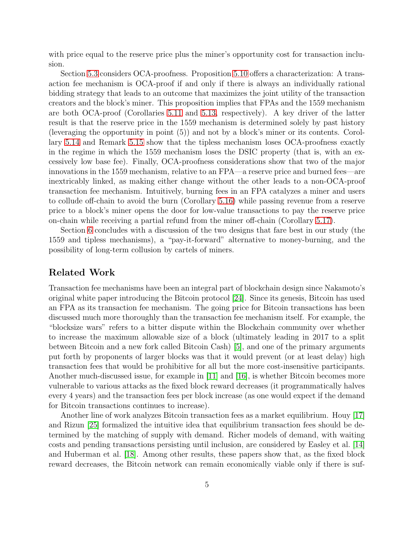with price equal to the reserve price plus the miner's opportunity cost for transaction inclusion.

Section [5.3](#page-21-0) considers OCA-proofness. Proposition [5.10](#page-21-1) offers a characterization: A transaction fee mechanism is OCA-proof if and only if there is always an individually rational bidding strategy that leads to an outcome that maximizes the joint utility of the transaction creators and the block's miner. This proposition implies that FPAs and the 1559 mechanism are both OCA-proof (Corollaries [5.11](#page-22-0) and [5.13,](#page-22-1) respectively). A key driver of the latter result is that the reserve price in the 1559 mechanism is determined solely by past history (leveraging the opportunity in point (5)) and not by a block's miner or its contents. Corollary [5.14](#page-23-0) and Remark [5.15](#page-23-1) show that the tipless mechanism loses OCA-proofness exactly in the regime in which the 1559 mechanism loses the DSIC property (that is, with an excessively low base fee). Finally, OCA-proofness considerations show that two of the major innovations in the 1559 mechanism, relative to an FPA—a reserve price and burned fees—are inextricably linked, as making either change without the other leads to a non-OCA-proof transaction fee mechanism. Intuitively, burning fees in an FPA catalyzes a miner and users to collude off-chain to avoid the burn (Corollary [5.16\)](#page-23-2) while passing revenue from a reserve price to a block's miner opens the door for low-value transactions to pay the reserve price on-chain while receiving a partial refund from the miner off-chain (Corollary [5.17\)](#page-24-0).

Section [6](#page-24-1) concludes with a discussion of the two designs that fare best in our study (the 1559 and tipless mechanisms), a "pay-it-forward" alternative to money-burning, and the possibility of long-term collusion by cartels of miners.

## Related Work

Transaction fee mechanisms have been an integral part of blockchain design since Nakamoto's original white paper introducing the Bitcoin protocol [\[24\]](#page-28-0). Since its genesis, Bitcoin has used an FPA as its transaction fee mechanism. The going price for Bitcoin transactions has been discussed much more thoroughly than the transaction fee mechanism itself. For example, the "blocksize wars" refers to a bitter dispute within the Blockchain community over whether to increase the maximum allowable size of a block (ultimately leading in 2017 to a split between Bitcoin and a new fork called Bitcoin Cash) [\[5\]](#page-26-3), and one of the primary arguments put forth by proponents of larger blocks was that it would prevent (or at least delay) high transaction fees that would be prohibitive for all but the more cost-insensitive participants. Another much-discussed issue, for example in [\[11\]](#page-27-1) and [\[16\]](#page-27-2), is whether Bitcoin becomes more vulnerable to various attacks as the fixed block reward decreases (it programmatically halves every 4 years) and the transaction fees per block increase (as one would expect if the demand for Bitcoin transactions continues to increase).

Another line of work analyzes Bitcoin transaction fees as a market equilibrium. Houy [\[17\]](#page-27-3) and Rizun [\[25\]](#page-28-2) formalized the intuitive idea that equilibrium transaction fees should be determined by the matching of supply with demand. Richer models of demand, with waiting costs and pending transactions persisting until inclusion, are considered by Easley et al. [\[14\]](#page-27-4) and Huberman et al. [\[18\]](#page-27-5). Among other results, these papers show that, as the fixed block reward decreases, the Bitcoin network can remain economically viable only if there is suf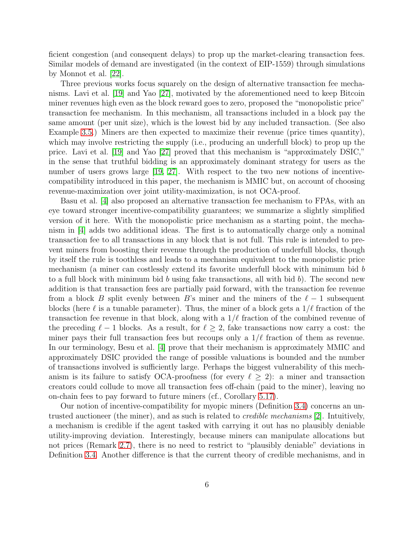ficient congestion (and consequent delays) to prop up the market-clearing transaction fees. Similar models of demand are investigated (in the context of EIP-1559) through simulations by Monnot et al. [\[22\]](#page-28-3).

Three previous works focus squarely on the design of alternative transaction fee mechanisms. Lavi et al. [\[19\]](#page-27-6) and Yao [\[27\]](#page-28-4), motivated by the aforementioned need to keep Bitcoin miner revenues high even as the block reward goes to zero, proposed the "monopolistic price" transaction fee mechanism. In this mechanism, all transactions included in a block pay the same amount (per unit size), which is the lowest bid by any included transaction. (See also Example [3.5.](#page-12-1)) Miners are then expected to maximize their revenue (price times quantity), which may involve restricting the supply (i.e., producing an underfull block) to prop up the price. Lavi et al. [\[19\]](#page-27-6) and Yao [\[27\]](#page-28-4) proved that this mechanism is "approximately DSIC," in the sense that truthful bidding is an approximately dominant strategy for users as the number of users grows large [\[19,](#page-27-6) [27\]](#page-28-4). With respect to the two new notions of incentivecompatibility introduced in this paper, the mechanism is MMIC but, on account of choosing revenue-maximization over joint utility-maximization, is not OCA-proof.

Basu et al. [\[4\]](#page-26-4) also proposed an alternative transaction fee mechanism to FPAs, with an eye toward stronger incentive-compatibility guarantees; we summarize a slightly simplified version of it here. With the monopolistic price mechanism as a starting point, the mechanism in [\[4\]](#page-26-4) adds two additional ideas. The first is to automatically charge only a nominal transaction fee to all transactions in any block that is not full. This rule is intended to prevent miners from boosting their revenue through the production of underfull blocks, though by itself the rule is toothless and leads to a mechanism equivalent to the monopolistic price mechanism (a miner can costlessly extend its favorite underfull block with minimum bid b to a full block with minimum bid b using fake transactions, all with bid b). The second new addition is that transaction fees are partially paid forward, with the transaction fee revenue from a block B split evenly between B's miner and the miners of the  $\ell-1$  subsequent blocks (here  $\ell$  is a tunable parameter). Thus, the miner of a block gets a  $1/\ell$  fraction of the transaction fee revenue in that block, along with a  $1/\ell$  fraction of the combined revenue of the preceding  $\ell - 1$  blocks. As a result, for  $\ell \geq 2$ , fake transactions now carry a cost: the miner pays their full transaction fees but recoups only a  $1/\ell$  fraction of them as revenue. In our terminology, Besu et al. [\[4\]](#page-26-4) prove that their mechanism is approximately MMIC and approximately DSIC provided the range of possible valuations is bounded and the number of transactions involved is sufficiently large. Perhaps the biggest vulnerability of this mechanism is its failure to satisfy OCA-proofness (for every  $\ell \geq 2$ ): a miner and transaction creators could collude to move all transaction fees off-chain (paid to the miner), leaving no on-chain fees to pay forward to future miners (cf., Corollary [5.17\)](#page-24-0).

Our notion of incentive-compatibility for myopic miners (Definition [3.4\)](#page-11-0) concerns an untrusted auctioneer (the miner), and as such is related to credible mechanisms [\[2\]](#page-26-5). Intuitively, a mechanism is credible if the agent tasked with carrying it out has no plausibly deniable utility-improving deviation. Interestingly, because miners can manipulate allocations but not prices (Remark [2.7\)](#page-9-1), there is no need to restrict to "plausibly deniable" deviations in Definition [3.4.](#page-11-0) Another difference is that the current theory of credible mechanisms, and in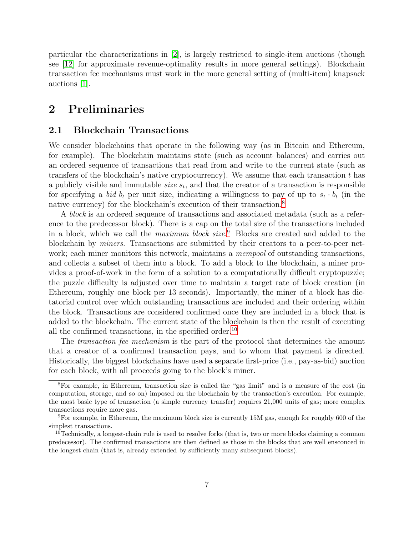particular the characterizations in [\[2\]](#page-26-5), is largely restricted to single-item auctions (though see [\[12\]](#page-27-7) for approximate revenue-optimality results in more general settings). Blockchain transaction fee mechanisms must work in the more general setting of (multi-item) knapsack auctions [\[1\]](#page-26-6).

# <span id="page-6-0"></span>2 Preliminaries

#### 2.1 Blockchain Transactions

We consider blockchains that operate in the following way (as in Bitcoin and Ethereum, for example). The blockchain maintains state (such as account balances) and carries out an ordered sequence of transactions that read from and write to the current state (such as transfers of the blockchain's native cryptocurrency). We assume that each transaction  $t$  has a publicly visible and immutable *size*  $s_t$ , and that the creator of a transaction is responsible for specifying a bid  $b_t$  per unit size, indicating a willingness to pay of up to  $s_t \cdot b_t$  (in the native currency) for the blockchain's execution of their transaction.<sup>8</sup>

A block is an ordered sequence of transactions and associated metadata (such as a reference to the predecessor block). There is a cap on the total size of the transactions included in a block, which we call the *maximum block size*.<sup>9</sup> Blocks are created and added to the blockchain by miners. Transactions are submitted by their creators to a peer-to-peer network; each miner monitors this network, maintains a *mempool* of outstanding transactions, and collects a subset of them into a block. To add a block to the blockchain, a miner provides a proof-of-work in the form of a solution to a computationally difficult cryptopuzzle; the puzzle difficulty is adjusted over time to maintain a target rate of block creation (in Ethereum, roughly one block per 13 seconds). Importantly, the miner of a block has dictatorial control over which outstanding transactions are included and their ordering within the block. Transactions are considered confirmed once they are included in a block that is added to the blockchain. The current state of the blockchain is then the result of executing all the confirmed transactions, in the specified order.<sup>10</sup>

The *transaction fee mechanism* is the part of the protocol that determines the amount that a creator of a confirmed transaction pays, and to whom that payment is directed. Historically, the biggest blockchains have used a separate first-price (i.e., pay-as-bid) auction for each block, with all proceeds going to the block's miner.

<sup>8</sup>For example, in Ethereum, transaction size is called the "gas limit" and is a measure of the cost (in computation, storage, and so on) imposed on the blockchain by the transaction's execution. For example, the most basic type of transaction (a simple currency transfer) requires 21,000 units of gas; more complex transactions require more gas.

 $9F<sup>9</sup>$  For example, in Ethereum, the maximum block size is currently 15M gas, enough for roughly 600 of the simplest transactions.

<sup>&</sup>lt;sup>10</sup>Technically, a longest-chain rule is used to resolve forks (that is, two or more blocks claiming a common predecessor). The confirmed transactions are then defined as those in the blocks that are well ensconced in the longest chain (that is, already extended by sufficiently many subsequent blocks).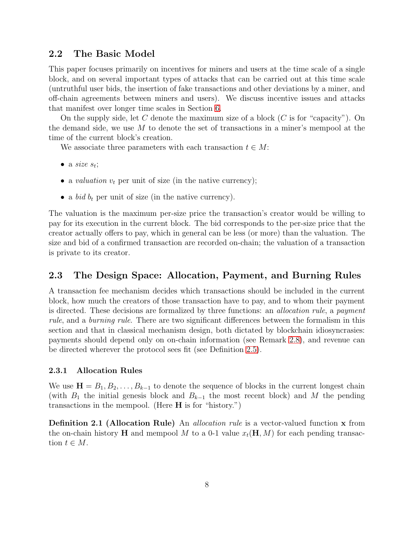### <span id="page-7-0"></span>2.2 The Basic Model

This paper focuses primarily on incentives for miners and users at the time scale of a single block, and on several important types of attacks that can be carried out at this time scale (untruthful user bids, the insertion of fake transactions and other deviations by a miner, and off-chain agreements between miners and users). We discuss incentive issues and attacks that manifest over longer time scales in Section [6.](#page-24-1)

On the supply side, let C denote the maximum size of a block  $(C$  is for "capacity"). On the demand side, we use  $M$  to denote the set of transactions in a miner's mempool at the time of the current block's creation.

We associate three parameters with each transaction  $t \in M$ :

- a size  $s_t$ ;
- a *valuation*  $v_t$  per unit of size (in the native currency);
- a *bid*  $b_t$  per unit of size (in the native currency).

The valuation is the maximum per-size price the transaction's creator would be willing to pay for its execution in the current block. The bid corresponds to the per-size price that the creator actually offers to pay, which in general can be less (or more) than the valuation. The size and bid of a confirmed transaction are recorded on-chain; the valuation of a transaction is private to its creator.

## 2.3 The Design Space: Allocation, Payment, and Burning Rules

A transaction fee mechanism decides which transactions should be included in the current block, how much the creators of those transaction have to pay, and to whom their payment is directed. These decisions are formalized by three functions: an *allocation rule*, a *payment* rule, and a burning rule. There are two significant differences between the formalism in this section and that in classical mechanism design, both dictated by blockchain idiosyncrasies: payments should depend only on on-chain information (see Remark [2.8\)](#page-9-2), and revenue can be directed wherever the protocol sees fit (see Definition [2.5\)](#page-8-0).

#### 2.3.1 Allocation Rules

We use  $\mathbf{H} = B_1, B_2, \ldots, B_{k-1}$  to denote the sequence of blocks in the current longest chain (with  $B_1$  the initial genesis block and  $B_{k-1}$  the most recent block) and M the pending transactions in the mempool. (Here  $H$  is for "history.")

**Definition 2.1 (Allocation Rule)** An *allocation rule* is a vector-valued function x from the on-chain history **H** and mempool M to a 0-1 value  $x_t(H, M)$  for each pending transaction  $t \in M$ .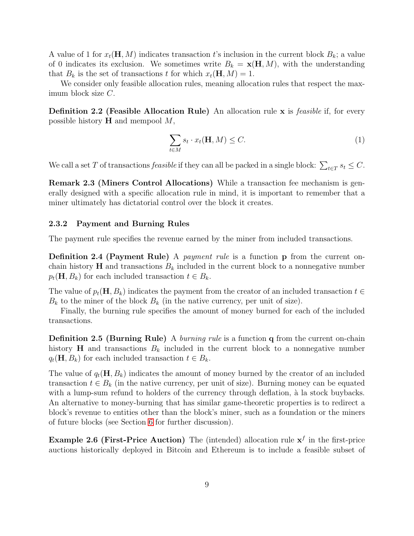A value of 1 for  $x_t(\mathbf{H}, M)$  indicates transaction t's inclusion in the current block  $B_k$ ; a value of 0 indicates its exclusion. We sometimes write  $B_k = \mathbf{x}(\mathbf{H}, M)$ , with the understanding that  $B_k$  is the set of transactions t for which  $x_t(\mathbf{H}, M) = 1$ .

We consider only feasible allocation rules, meaning allocation rules that respect the maximum block size C.

**Definition 2.2 (Feasible Allocation Rule)** An allocation rule x is *feasible* if, for every possible history  $H$  and mempool  $M$ ,

<span id="page-8-1"></span>
$$
\sum_{t \in M} s_t \cdot x_t(\mathbf{H}, M) \le C. \tag{1}
$$

<span id="page-8-3"></span>We call a set T of transactions *feasible* if they can all be packed in a single block:  $\sum_{t \in T} s_t \leq C$ .

Remark 2.3 (Miners Control Allocations) While a transaction fee mechanism is generally designed with a specific allocation rule in mind, it is important to remember that a miner ultimately has dictatorial control over the block it creates.

#### 2.3.2 Payment and Burning Rules

The payment rule specifies the revenue earned by the miner from included transactions.

Definition 2.4 (Payment Rule) A *payment rule* is a function p from the current onchain history  $H$  and transactions  $B_k$  included in the current block to a nonnegative number  $p_t(\mathbf{H}, B_k)$  for each included transaction  $t \in B_k$ .

The value of  $p_t(\mathbf{H}, B_k)$  indicates the payment from the creator of an included transaction  $t \in$  $B_k$  to the miner of the block  $B_k$  (in the native currency, per unit of size).

<span id="page-8-0"></span>Finally, the burning rule specifies the amount of money burned for each of the included transactions.

**Definition 2.5 (Burning Rule)** A *burning rule* is a function **q** from the current on-chain history **H** and transactions  $B_k$  included in the current block to a nonnegative number  $q_t(\mathbf{H}, B_k)$  for each included transaction  $t \in B_k$ .

The value of  $q_t(\mathbf{H}, B_k)$  indicates the amount of money burned by the creator of an included transaction  $t \in B_k$  (in the native currency, per unit of size). Burning money can be equated with a lump-sum refund to holders of the currency through deflation, à la stock buybacks. An alternative to money-burning that has similar game-theoretic properties is to redirect a block's revenue to entities other than the block's miner, such as a foundation or the miners of future blocks (see Section [6](#page-24-1) for further discussion).

<span id="page-8-2"></span>**Example 2.6 (First-Price Auction)** The (intended) allocation rule  $x<sup>f</sup>$  in the first-price auctions historically deployed in Bitcoin and Ethereum is to include a feasible subset of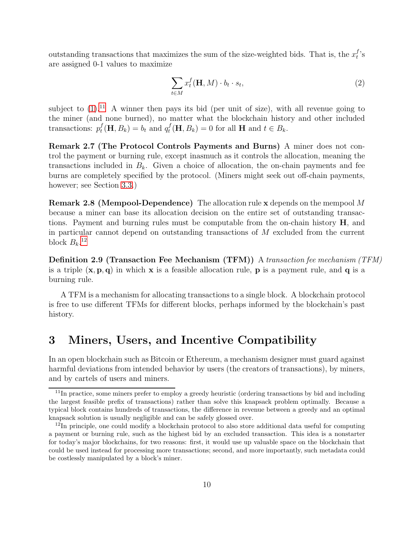outstanding transactions that maximizes the sum of the size-weighted bids. That is, the  $x_t^f$  $_t^J$ 's are assigned 0-1 values to maximize

<span id="page-9-3"></span>
$$
\sum_{t \in M} x_t^f(\mathbf{H}, M) \cdot b_t \cdot s_t,
$$
\n(2)

subject to  $(1)$ .<sup>11</sup> A winner then pays its bid (per unit of size), with all revenue going to the miner (and none burned), no matter what the blockchain history and other included transactions:  $p_t^f$  $t_t^f(\mathbf{H}, B_k) = b_t$  and  $q_t^f$  $t<sup>J</sup>(\mathbf{H}, B_k) = 0$  for all **H** and  $t \in B_k$ .

<span id="page-9-1"></span>Remark 2.7 (The Protocol Controls Payments and Burns) A miner does not control the payment or burning rule, except inasmuch as it controls the allocation, meaning the transactions included in  $B_k$ . Given a choice of allocation, the on-chain payments and fee burns are completely specified by the protocol. (Miners might seek out off-chain payments, however; see Section [3.3.](#page-12-2))

<span id="page-9-2"></span>Remark 2.8 (Mempool-Dependence) The allocation rule x depends on the mempool M because a miner can base its allocation decision on the entire set of outstanding transactions. Payment and burning rules must be computable from the on-chain history  $H$ , and in particular cannot depend on outstanding transactions of M excluded from the current block  $B_k$ <sup>12</sup>

Definition 2.9 (Transaction Fee Mechanism (TFM)) A transaction fee mechanism (TFM) is a triple  $(x, p, q)$  in which x is a feasible allocation rule, p is a payment rule, and q is a burning rule.

A TFM is a mechanism for allocating transactions to a single block. A blockchain protocol is free to use different TFMs for different blocks, perhaps informed by the blockchain's past history.

# <span id="page-9-0"></span>3 Miners, Users, and Incentive Compatibility

In an open blockchain such as Bitcoin or Ethereum, a mechanism designer must guard against harmful deviations from intended behavior by users (the creators of transactions), by miners, and by cartels of users and miners.

 $^{11}{\rm In}$  practice, some miners prefer to employ a greedy heuristic (ordering transactions by bid and including the largest feasible prefix of transactions) rather than solve this knapsack problem optimally. Because a typical block contains hundreds of transactions, the difference in revenue between a greedy and an optimal knapsack solution is usually negligible and can be safely glossed over.

<sup>&</sup>lt;sup>12</sup>In principle, one could modify a blockchain protocol to also store additional data useful for computing a payment or burning rule, such as the highest bid by an excluded transaction. This idea is a nonstarter for today's major blockchains, for two reasons: first, it would use up valuable space on the blockchain that could be used instead for processing more transactions; second, and more importantly, such metadata could be costlessly manipulated by a block's miner.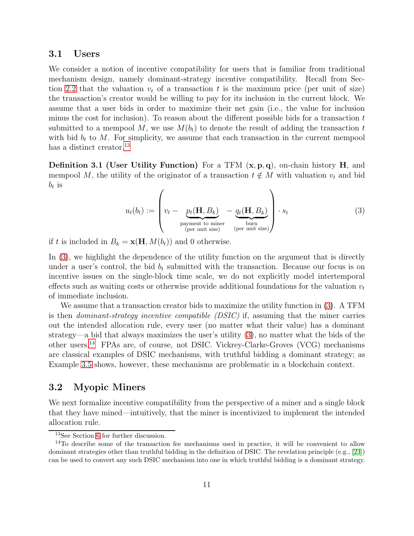#### <span id="page-10-1"></span>3.1 Users

We consider a notion of incentive compatibility for users that is familiar from traditional mechanism design, namely dominant-strategy incentive compatibility. Recall from Sec-tion [2.2](#page-7-0) that the valuation  $v_t$  of a transaction t is the maximum price (per unit of size) the transaction's creator would be willing to pay for its inclusion in the current block. We assume that a user bids in order to maximize their net gain (i.e., the value for inclusion minus the cost for inclusion). To reason about the different possible bids for a transaction  $t$ submitted to a mempool M, we use  $M(b_t)$  to denote the result of adding the transaction t with bid  $b_t$  to M. For simplicity, we assume that each transaction in the current mempool has a distinct creator.<sup>13</sup>

**Definition 3.1 (User Utility Function)** For a TFM  $(x, p, q)$ , on-chain history H, and mempool M, the utility of the originator of a transaction  $t \notin M$  with valuation  $v_t$  and bid  $b_t$  is

<span id="page-10-0"></span>
$$
u_t(b_t) := \left( v_t - \underbrace{p_t(\mathbf{H}, B_k)}_{\text{payment to miner}} - \underbrace{q_t(\mathbf{H}, B_k)}_{\text{(per unit size)}} \right) \cdot s_t
$$
 (3)

if t is included in  $B_k = \mathbf{x}(\mathbf{H}, M(b_t))$  and 0 otherwise.

In [\(3\)](#page-10-0), we highlight the dependence of the utility function on the argument that is directly under a user's control, the bid  $b_t$  submitted with the transaction. Because our focus is on incentive issues on the single-block time scale, we do not explicitly model intertemporal effects such as waiting costs or otherwise provide additional foundations for the valuation  $v_t$ of immediate inclusion.

We assume that a transaction creator bids to maximize the utility function in [\(3\)](#page-10-0). A TFM is then dominant-strategy incentive compatible (DSIC) if, assuming that the miner carries out the intended allocation rule, every user (no matter what their value) has a dominant strategy—a bid that always maximizes the user's utility [\(3\)](#page-10-0), no matter what the bids of the other users.<sup>14</sup> FPAs are, of course, not DSIC. Vickrey-Clarke-Groves (VCG) mechanisms are classical examples of DSIC mechanisms, with truthful bidding a dominant strategy; as Example [3.5](#page-12-1) shows, however, these mechanisms are problematic in a blockchain context.

### 3.2 Myopic Miners

We next formalize incentive compatibility from the perspective of a miner and a single block that they have mined—intuitively, that the miner is incentivized to implement the intended allocation rule.

<sup>13</sup>See Section [6](#page-24-1) for further discussion.

 $14$ To describe some of the transaction fee mechanisms used in practice, it will be convenient to allow dominant strategies other than truthful bidding in the definition of DSIC. The revelation principle (e.g., [\[23\]](#page-28-5)) can be used to convert any such DSIC mechanism into one in which truthful bidding is a dominant strategy.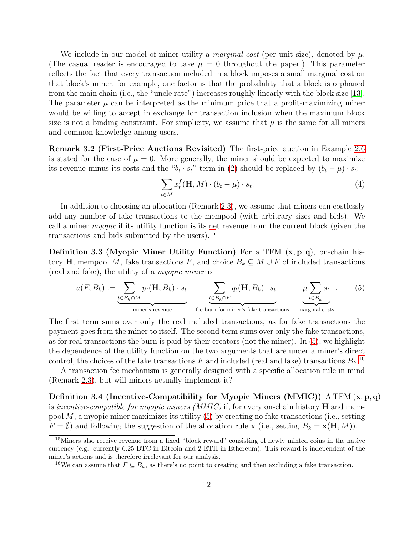We include in our model of miner utility a *marginal cost* (per unit size), denoted by  $\mu$ . (The casual reader is encouraged to take  $\mu = 0$  throughout the paper.) This parameter reflects the fact that every transaction included in a block imposes a small marginal cost on that block's miner; for example, one factor is that the probability that a block is orphaned from the main chain (i.e., the "uncle rate") increases roughly linearly with the block size [\[13\]](#page-27-8). The parameter  $\mu$  can be interpreted as the minimum price that a profit-maximizing miner would be willing to accept in exchange for transaction inclusion when the maximum block size is not a binding constraint. For simplicity, we assume that  $\mu$  is the same for all miners and common knowledge among users.

Remark 3.2 (First-Price Auctions Revisited) The first-price auction in Example [2.6](#page-8-2) is stated for the case of  $\mu = 0$ . More generally, the miner should be expected to maximize its revenue minus its costs and the " $b_t \cdot s_t$ " term in [\(2\)](#page-9-3) should be replaced by  $(b_t - \mu) \cdot s_t$ :

<span id="page-11-2"></span>
$$
\sum_{t \in M} x_t^f(\mathbf{H}, M) \cdot (b_t - \mu) \cdot s_t.
$$
 (4)

In addition to choosing an allocation (Remark [2.3\)](#page-8-3), we assume that miners can costlessly add any number of fake transactions to the mempool (with arbitrary sizes and bids). We call a miner myopic if its utility function is its net revenue from the current block (given the transactions and bids submitted by the users).<sup>15</sup>

**Definition 3.3 (Myopic Miner Utility Function)** For a TFM  $(x, p, q)$ , on-chain history H, mempool M, fake transactions F, and choice  $B_k \subseteq M \cup F$  of included transactions (real and fake), the utility of a myopic miner is

<span id="page-11-1"></span><span id="page-11-0"></span>
$$
u(F, B_k) := \underbrace{\sum_{t \in B_k \cap M} p_t(\mathbf{H}, B_k) \cdot s_t}_{\text{miner's revenue}} - \underbrace{\sum_{t \in B_k \cap F} q_t(\mathbf{H}, B_k) \cdot s_t}_{\text{free burn for miner's fake transactions}} - \underbrace{\mu \sum_{t \in B_k} s_t}_{\text{marginal costs}} \cdot (5)
$$

The first term sums over only the real included transactions, as for fake transactions the payment goes from the miner to itself. The second term sums over only the fake transactions, as for real transactions the burn is paid by their creators (not the miner). In [\(5\)](#page-11-1), we highlight the dependence of the utility function on the two arguments that are under a miner's direct control, the choices of the fake transactions F and included (real and fake) transactions  $B_k$ <sup>16</sup>

A transaction fee mechanism is generally designed with a specific allocation rule in mind (Remark [2.3\)](#page-8-3), but will miners actually implement it?

Definition 3.4 (Incentive-Compatibility for Myopic Miners (MMIC)) A TFM  $(x, p, q)$ is incentive-compatible for myopic miners  $(MMIC)$  if, for every on-chain history  $H$  and mempool  $M$ , a myopic miner maximizes its utility  $(5)$  by creating no fake transactions (i.e., setting  $F = \emptyset$  and following the suggestion of the allocation rule **x** (i.e., setting  $B_k = \mathbf{x}(\mathbf{H}, M)$ ).

<sup>&</sup>lt;sup>15</sup>Miners also receive revenue from a fixed "block reward" consisting of newly minted coins in the native currency (e.g., currently 6.25 BTC in Bitcoin and 2 ETH in Ethereum). This reward is independent of the miner's actions and is therefore irrelevant for our analysis.

<sup>&</sup>lt;sup>16</sup>We can assume that  $F \subseteq B_k$ , as there's no point to creating and then excluding a fake transaction.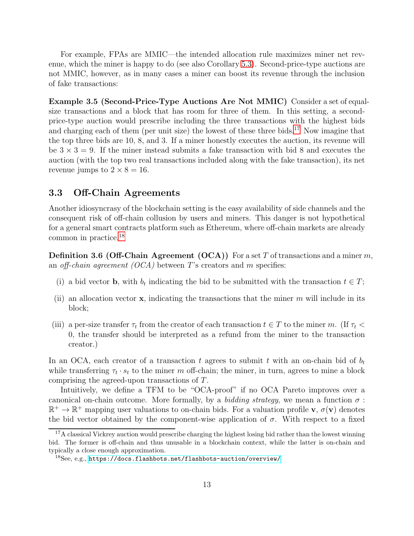For example, FPAs are MMIC—the intended allocation rule maximizes miner net revenue, which the miner is happy to do (see also Corollary [5.3\)](#page-18-1). Second-price-type auctions are not MMIC, however, as in many cases a miner can boost its revenue through the inclusion of fake transactions:

<span id="page-12-1"></span>Example 3.5 (Second-Price-Type Auctions Are Not MMIC) Consider a set of equalsize transactions and a block that has room for three of them. In this setting, a secondprice-type auction would prescribe including the three transactions with the highest bids and charging each of them (per unit size) the lowest of these three bids.<sup>17</sup> Now imagine that the top three bids are 10, 8, and 3. If a miner honestly executes the auction, its revenue will be  $3 \times 3 = 9$ . If the miner instead submits a fake transaction with bid 8 and executes the auction (with the top two real transactions included along with the fake transaction), its net revenue jumps to  $2 \times 8 = 16$ .

## <span id="page-12-2"></span>3.3 Off-Chain Agreements

Another idiosyncrasy of the blockchain setting is the easy availability of side channels and the consequent risk of off-chain collusion by users and miners. This danger is not hypothetical for a general smart contracts platform such as Ethereum, where off-chain markets are already common in practice.<sup>18</sup>

<span id="page-12-0"></span>**Definition 3.6 (Off-Chain Agreement (OCA))** For a set T of transactions and a miner m, an *off-chain agreement (OCA)* between T's creators and m specifies:

- (i) a bid vector **b**, with  $b_t$  indicating the bid to be submitted with the transaction  $t \in T$ ;
- (ii) an allocation vector  $\bf{x}$ , indicating the transactions that the miner m will include in its block;
- (iii) a per-size transfer  $\tau_t$  from the creator of each transaction  $t \in T$  to the miner m. (If  $\tau_t$  < 0, the transfer should be interpreted as a refund from the miner to the transaction creator.)

In an OCA, each creator of a transaction t agrees to submit t with an on-chain bid of  $b_t$ while transferring  $\tau_t \cdot s_t$  to the miner m off-chain; the miner, in turn, agrees to mine a block comprising the agreed-upon transactions of T.

Intuitively, we define a TFM to be "OCA-proof" if no OCA Pareto improves over a canonical on-chain outcome. More formally, by a *bidding strategy*, we mean a function  $\sigma$ :  $\mathbb{R}^+ \to \mathbb{R}^+$  mapping user valuations to on-chain bids. For a valuation profile **v**,  $\sigma(\mathbf{v})$  denotes the bid vector obtained by the component-wise application of  $\sigma$ . With respect to a fixed

<sup>&</sup>lt;sup>17</sup>A classical Vickrey auction would prescribe charging the highest losing bid rather than the lowest winning bid. The former is off-chain and thus unusable in a blockchain context, while the latter is on-chain and typically a close enough approximation.

 $18$ See, e.g., <https://docs.flashbots.net/flashbots-auction/overview/>.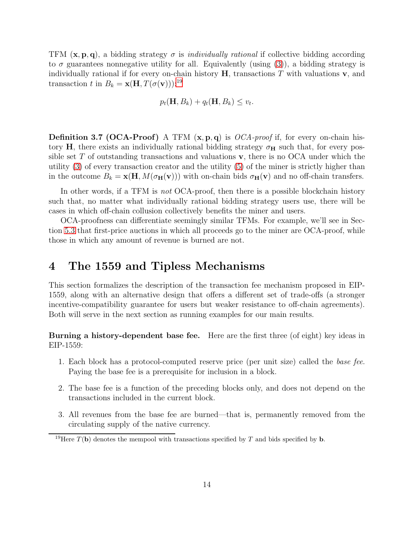TFM  $(x, p, q)$ , a bidding strategy  $\sigma$  is *individually rational* if collective bidding according to  $\sigma$  guarantees nonnegative utility for all. Equivalently (using [\(3\)](#page-10-0)), a bidding strategy is individually rational if for every on-chain history  $H$ , transactions T with valuations  $v$ , and transaction t in  $B_k = \mathbf{x}(\mathbf{H}, T(\sigma(\mathbf{v})))$ :<sup>19</sup>

$$
p_t(\mathbf{H}, B_k) + q_t(\mathbf{H}, B_k) \le v_t.
$$

<span id="page-13-1"></span>**Definition 3.7 (OCA-Proof)** A TFM  $(x, p, q)$  is *OCA-proof* if, for every on-chain history H, there exists an individually rational bidding strategy  $\sigma_H$  such that, for every possible set  $T$  of outstanding transactions and valuations  $\bf{v}$ , there is no OCA under which the utility [\(3\)](#page-10-0) of every transaction creator and the utility [\(5\)](#page-11-1) of the miner is strictly higher than in the outcome  $B_k = \mathbf{x}(\mathbf{H}, M(\sigma_{\mathbf{H}}(\mathbf{v})))$  with on-chain bids  $\sigma_{\mathbf{H}}(\mathbf{v})$  and no off-chain transfers.

In other words, if a TFM is not OCA-proof, then there is a possible blockchain history such that, no matter what individually rational bidding strategy users use, there will be cases in which off-chain collusion collectively benefits the miner and users.

OCA-proofness can differentiate seemingly similar TFMs. For example, we'll see in Section [5.3](#page-21-0) that first-price auctions in which all proceeds go to the miner are OCA-proof, while those in which any amount of revenue is burned are not.

## <span id="page-13-0"></span>4 The 1559 and Tipless Mechanisms

This section formalizes the description of the transaction fee mechanism proposed in EIP-1559, along with an alternative design that offers a different set of trade-offs (a stronger incentive-compatibility guarantee for users but weaker resistance to off-chain agreements). Both will serve in the next section as running examples for our main results.

Burning a history-dependent base fee. Here are the first three (of eight) key ideas in EIP-1559:

- 1. Each block has a protocol-computed reserve price (per unit size) called the base fee. Paying the base fee is a prerequisite for inclusion in a block.
- 2. The base fee is a function of the preceding blocks only, and does not depend on the transactions included in the current block.
- 3. All revenues from the base fee are burned—that is, permanently removed from the circulating supply of the native currency.

<sup>&</sup>lt;sup>19</sup>Here  $T(\mathbf{b})$  denotes the mempool with transactions specified by T and bids specified by **b**.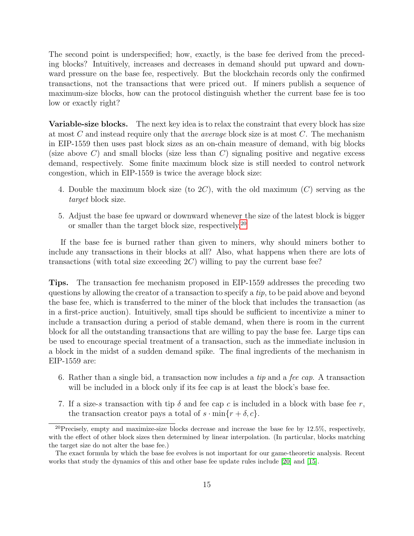The second point is underspecified; how, exactly, is the base fee derived from the preceding blocks? Intuitively, increases and decreases in demand should put upward and downward pressure on the base fee, respectively. But the blockchain records only the confirmed transactions, not the transactions that were priced out. If miners publish a sequence of maximum-size blocks, how can the protocol distinguish whether the current base fee is too low or exactly right?

Variable-size blocks. The next key idea is to relax the constraint that every block has size at most  $C$  and instead require only that the *average* block size is at most  $C$ . The mechanism in EIP-1559 then uses past block sizes as an on-chain measure of demand, with big blocks (size above  $C$ ) and small blocks (size less than  $C$ ) signaling positive and negative excess demand, respectively. Some finite maximum block size is still needed to control network congestion, which in EIP-1559 is twice the average block size:

- 4. Double the maximum block size (to  $2C$ ), with the old maximum  $(C)$  serving as the target block size.
- 5. Adjust the base fee upward or downward whenever the size of the latest block is bigger or smaller than the target block size, respectively.<sup>20</sup>

If the base fee is burned rather than given to miners, why should miners bother to include any transactions in their blocks at all? Also, what happens when there are lots of transactions (with total size exceeding  $2C$ ) willing to pay the current base fee?

Tips. The transaction fee mechanism proposed in EIP-1559 addresses the preceding two questions by allowing the creator of a transaction to specify a tip, to be paid above and beyond the base fee, which is transferred to the miner of the block that includes the transaction (as in a first-price auction). Intuitively, small tips should be sufficient to incentivize a miner to include a transaction during a period of stable demand, when there is room in the current block for all the outstanding transactions that are willing to pay the base fee. Large tips can be used to encourage special treatment of a transaction, such as the immediate inclusion in a block in the midst of a sudden demand spike. The final ingredients of the mechanism in EIP-1559 are:

- 6. Rather than a single bid, a transaction now includes a tip and a fee cap. A transaction will be included in a block only if its fee cap is at least the block's base fee.
- 7. If a size-s transaction with tip  $\delta$  and fee cap c is included in a block with base fee r, the transaction creator pays a total of  $s \cdot \min\{r + \delta, c\}.$

 $^{20}$ Precisely, empty and maximize-size blocks decrease and increase the base fee by 12.5%, respectively, with the effect of other block sizes then determined by linear interpolation. (In particular, blocks matching the target size do not alter the base fee.)

The exact formula by which the base fee evolves is not important for our game-theoretic analysis. Recent works that study the dynamics of this and other base fee update rules include [\[20\]](#page-27-9) and [\[15\]](#page-27-10).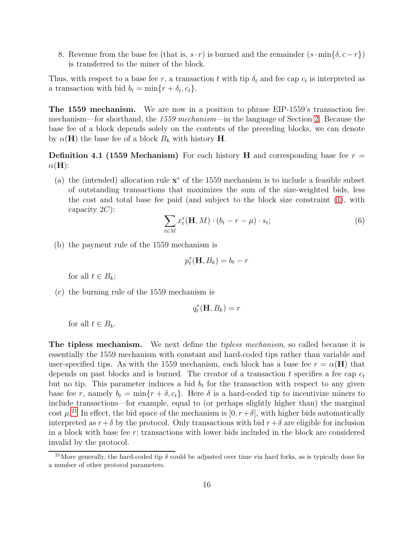8. Revenue from the base fee (that is,  $s \cdot r$ ) is burned and the remainder  $(s \cdot \min{\delta, c-r})$ ) is transferred to the miner of the block.

Thus, with respect to a base fee r, a transaction t with tip  $\delta_t$  and fee cap  $c_t$  is interpreted as a transaction with bid  $b_t = \min\{r + \delta_t, c_t\}.$ 

The 1559 mechanism. We are now in a position to phrase EIP-1559's transaction fee mechanism—for shorthand, the 1559 mechanism—in the language of Section [2.](#page-6-0) Because the base fee of a block depends solely on the contents of the preceding blocks, we can denote by  $\alpha(\mathbf{H})$  the base fee of a block  $B_k$  with history **H**.

**Definition 4.1 (1559 Mechanism)** For each history **H** and corresponding base fee  $r =$  $\alpha(H)$ :

(a) the (intended) allocation rule  $\mathbf{x}^*$  of the 1559 mechanism is to include a feasible subset of outstanding transactions that maximizes the sum of the size-weighted bids, less the cost and total base fee paid (and subject to the block size constraint [\(1\)](#page-8-1), with capacity  $2C$ :

<span id="page-15-2"></span><span id="page-15-0"></span>
$$
\sum_{t \in M} x_t^*(\mathbf{H}, M) \cdot (b_t - r - \mu) \cdot s_t;
$$
 (6)

(b) the payment rule of the 1559 mechanism is

$$
p_t^*(\mathbf{H}, B_k) = b_t - r
$$

for all  $t \in B_k$ ;

(c) the burning rule of the 1559 mechanism is

$$
q_t^*(\mathbf{H}, B_k) = r
$$

for all  $t \in B_k$ .

**The tipless mechanism.** We next define the *tipless mechanism*, so called because it is essentially the 1559 mechanism with constant and hard-coded tips rather than variable and user-specified tips. As with the 1559 mechanism, each block has a base fee  $r = \alpha(H)$  that depends on past blocks and is burned. The creator of a transaction t specifies a fee cap  $c_t$ but no tip. This parameter induces a bid  $b_t$  for the transaction with respect to any given base fee r, namely  $b_t = \min\{r + \delta, c_t\}$ . Here  $\delta$  is a hard-coded tip to incentivize miners to include transactions—for example, equal to (or perhaps slightly higher than) the marginal cost  $\mu^{21}$  In effect, the bid space of the mechanism is  $[0, r+\delta]$ , with higher bids automatically interpreted as  $r+\delta$  by the protocol. Only transactions with bid  $r+\delta$  are eligible for inclusion in a block with base fee  $r$ ; transactions with lower bids included in the block are considered invalid by the protocol.

<span id="page-15-1"></span><sup>&</sup>lt;sup>21</sup>More generally, the hard-coded tip  $\delta$  could be adjusted over time via hard forks, as is typically done for a number of other protocol parameters.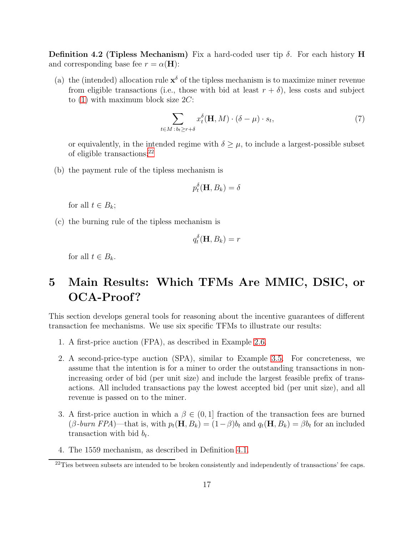Definition 4.2 (Tipless Mechanism) Fix a hard-coded user tip  $\delta$ . For each history H and corresponding base fee  $r = \alpha(\mathbf{H})$ :

(a) the (intended) allocation rule  $\mathbf{x}^{\delta}$  of the tipless mechanism is to maximize miner revenue from eligible transactions (i.e., those with bid at least  $r + \delta$ ), less costs and subject to  $(1)$  with maximum block size  $2C$ :

$$
\sum_{t \in M \, : \, b_t \ge r + \delta} x_t^{\delta}(\mathbf{H}, M) \cdot (\delta - \mu) \cdot s_t,
$$
\n<sup>(7)</sup>

or equivalently, in the intended regime with  $\delta \geq \mu$ , to include a largest-possible subset of eligible transactions; $^{22}$ 

(b) the payment rule of the tipless mechanism is

$$
p_t^{\delta}(\mathbf{H}, B_k) = \delta
$$

for all  $t \in B_k$ ;

(c) the burning rule of the tipless mechanism is

$$
q_t^{\delta}(\mathbf{H}, B_k) = r
$$

for all  $t \in B_k$ .

# <span id="page-16-0"></span>5 Main Results: Which TFMs Are MMIC, DSIC, or OCA-Proof?

This section develops general tools for reasoning about the incentive guarantees of different transaction fee mechanisms. We use six specific TFMs to illustrate our results:

- 1. A first-price auction (FPA), as described in Example [2.6.](#page-8-2)
- 2. A second-price-type auction (SPA), similar to Example [3.5.](#page-12-1) For concreteness, we assume that the intention is for a miner to order the outstanding transactions in nonincreasing order of bid (per unit size) and include the largest feasible prefix of transactions. All included transactions pay the lowest accepted bid (per unit size), and all revenue is passed on to the miner.
- 3. A first-price auction in which a  $\beta \in (0,1]$  fraction of the transaction fees are burned  $(\beta$ -burn FPA)—that is, with  $p_t(\mathbf{H}, B_k) = (1 - \beta)b_t$  and  $q_t(\mathbf{H}, B_k) = \beta b_t$  for an included transaction with bid  $b_t$ .
- 4. The 1559 mechanism, as described in Definition [4.1.](#page-15-0)

 $^{22}$ Ties between subsets are intended to be broken consistently and independently of transactions' fee caps.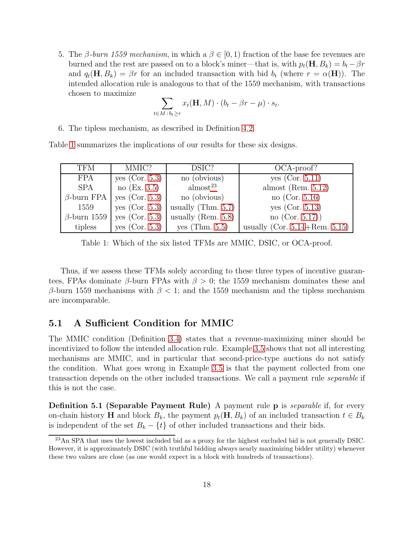5. The β-burn 1559 mechanism, in which a  $\beta \in [0, 1)$  fraction of the base fee revenues are burned and the rest are passed on to a block's miner—that is, with  $p_t(\mathbf{H}, B_k) = b_t - \beta r$ and  $q_t(\mathbf{H}, B_k) = \beta r$  for an included transaction with bid  $b_t$  (where  $r = \alpha(\mathbf{H})$ ). The intended allocation rule is analogous to that of the 1559 mechanism, with transactions chosen to maximize

$$
\sum_{t \in M \,:\, b_t \geq r} x_t(\mathbf{H}, M) \cdot (b_t - \beta r - \mu) \cdot s_t.
$$

6. The tipless mechanism, as described in Definition [4.2.](#page-15-1)

| <b>TFM</b> | MMIC?                              | DSIC?                                                    | OCA-proof?                                  |
|------------|------------------------------------|----------------------------------------------------------|---------------------------------------------|
| FPA        | yes (Cor. 5.3)                     | no (obvious)                                             | yes $(Cor. 5.11)$                           |
| SPA        | no (Ex. 3.5)                       | $\text{almost}^{23}$                                     | almost (Rem. $5.12$ )                       |
|            | $\beta$ -burn FPA   yes (Cor. 5.3) | no (obvious)                                             | no (Cor. $5.16$ )                           |
| 1559       |                                    | yes $(Cor. 5.3)$   usually (Thm. 5.7)                    | yes (Cor. $5.13$ )                          |
|            |                                    | $\beta$ -burn 1559   yes (Cor. 5.3)   usually (Rem. 5.8) | no $(Cor. 5.17)$                            |
| tipless    |                                    | $\vert$ yes (Cor. 5.3) $\vert$ yes (Thm. 5.5)            | usually (Cor. $5.14 + \mathrm{Rem.} 5.15$ ) |

Table [1](#page-17-1) summarizes the implications of our results for these six designs.

<span id="page-17-1"></span>Table 1: Which of the six listed TFMs are MMIC, DSIC, or OCA-proof.

Thus, if we assess these TFMs solely according to these three types of incentive guarantees, FPAs dominate  $\beta$ -burn FPAs with  $\beta > 0$ ; the 1559 mechanism dominates these and β-burn 1559 mechanisms with  $\beta$  < 1; and the 1559 mechanism and the tipless mechanism are incomparable.

## <span id="page-17-0"></span>5.1 A Sufficient Condition for MMIC

The MMIC condition (Definition [3.4\)](#page-11-0) states that a revenue-maximizing miner should be incentivized to follow the intended allocation rule. Example [3.5](#page-12-1) shows that not all interesting mechanisms are MMIC, and in particular that second-price-type auctions do not satisfy the condition. What goes wrong in Example [3.5](#page-12-1) is that the payment collected from one transaction depends on the other included transactions. We call a payment rule separable if this is not the case.

**Definition 5.1 (Separable Payment Rule)** A payment rule **p** is *separable* if, for every on-chain history **H** and block  $B_k$ , the payment  $p_t(\mathbf{H}, B_k)$  of an included transaction  $t \in B_k$ is independent of the set  $B_k - \{t\}$  of other included transactions and their bids.

<sup>&</sup>lt;sup>23</sup>An SPA that uses the lowest included bid as a proxy for the highest excluded bid is not generally DSIC. However, it is approximately DSIC (with truthful bidding always nearly maximizing bidder utility) whenever these two values are close (as one would expect in a block with hundreds of transactions).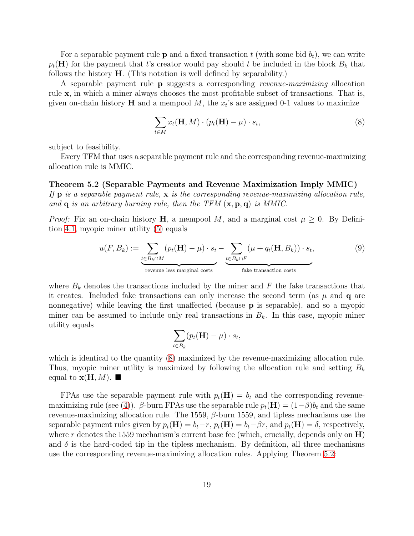For a separable payment rule **p** and a fixed transaction t (with some bid  $b_t$ ), we can write  $p_t(\mathbf{H})$  for the payment that t's creator would pay should t be included in the block  $B_k$  that follows the history H. (This notation is well defined by separability.)

A separable payment rule p suggests a corresponding revenue-maximizing allocation rule x, in which a miner always chooses the most profitable subset of transactions. That is, given on-chain history **H** and a mempool  $M$ , the  $x_t$ 's are assigned 0-1 values to maximize

<span id="page-18-2"></span><span id="page-18-0"></span>
$$
\sum_{t \in M} x_t(\mathbf{H}, M) \cdot (p_t(\mathbf{H}) - \mu) \cdot s_t,
$$
\n(8)

subject to feasibility.

Every TFM that uses a separable payment rule and the corresponding revenue-maximizing allocation rule is MMIC.

Theorem 5.2 (Separable Payments and Revenue Maximization Imply MMIC) If  $\mathbf{p}$  is a separable payment rule,  $\mathbf{x}$  is the corresponding revenue-maximizing allocation rule, and  $\bf{q}$  is an arbitrary burning rule, then the TFM  $({\bf x}, {\bf p}, {\bf q})$  is MMIC.

*Proof:* Fix an on-chain history **H**, a mempool M, and a marginal cost  $\mu \geq 0$ . By Definition [4.1,](#page-15-0) myopic miner utility [\(5\)](#page-11-1) equals

$$
u(F, B_k) := \underbrace{\sum_{t \in B_k \cap M} (p_t(\mathbf{H}) - \mu) \cdot s_t}_{\text{revenue less marginal costs}} - \underbrace{\sum_{t \in B_k \cap F} (\mu + q_t(\mathbf{H}, B_k)) \cdot s_t}_{\text{fake transaction costs}},
$$
(9)

where  $B_k$  denotes the transactions included by the miner and F the fake transactions that it creates. Included fake transactions can only increase the second term (as  $\mu$  and  $\mathbf q$  are nonnegative) while leaving the first unaffected (because p is separable), and so a myopic miner can be assumed to include only real transactions in  $B_k$ . In this case, myopic miner utility equals

<span id="page-18-1"></span>
$$
\sum_{t \in B_k} (p_t(\mathbf{H}) - \mu) \cdot s_t,
$$

which is identical to the quantity [\(8\)](#page-18-2) maximized by the revenue-maximizing allocation rule. Thus, myopic miner utility is maximized by following the allocation rule and setting  $B_k$ equal to  $\mathbf{x}(\mathbf{H}, M)$ .

FPAs use the separable payment rule with  $p_t(\mathbf{H}) = b_t$  and the corresponding revenue-maximizing rule (see [\(4\)](#page-11-2)). β-burn FPAs use the separable rule  $p_t(\mathbf{H}) = (1-\beta)b_t$  and the same revenue-maximizing allocation rule. The 1559,  $\beta$ -burn 1559, and tipless mechanisms use the separable payment rules given by  $p_t(\mathbf{H}) = b_t - r$ ,  $p_t(\mathbf{H}) = b_t - \beta r$ , and  $p_t(\mathbf{H}) = \delta$ , respectively, where r denotes the 1559 mechanism's current base fee (which, crucially, depends only on  $\mathbf{H}$ ) and  $\delta$  is the hard-coded tip in the tipless mechanism. By definition, all three mechanisms use the corresponding revenue-maximizing allocation rules. Applying Theorem [5.2:](#page-18-0)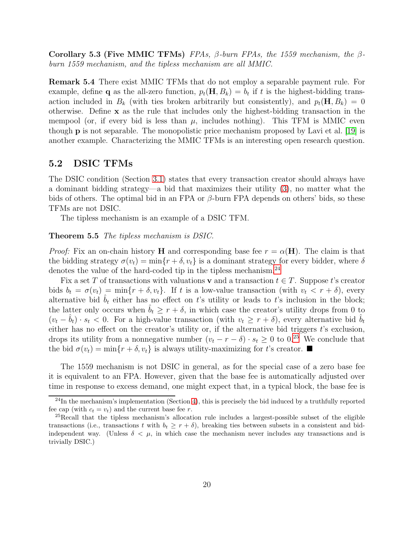Corollary 5.3 (Five MMIC TFMs) FPAs,  $\beta$ -burn FPAs, the 1559 mechanism, the  $\beta$ burn 1559 mechanism, and the tipless mechanism are all MMIC.

Remark 5.4 There exist MMIC TFMs that do not employ a separable payment rule. For example, define **q** as the all-zero function,  $p_t(\mathbf{H}, B_k) = b_t$  if t is the highest-bidding transaction included in  $B_k$  (with ties broken arbitrarily but consistently), and  $p_t(\mathbf{H}, B_k) = 0$ otherwise. Define x as the rule that includes only the highest-bidding transaction in the mempool (or, if every bid is less than  $\mu$ , includes nothing). This TFM is MMIC even though p is not separable. The monopolistic price mechanism proposed by Lavi et al. [\[19\]](#page-27-6) is another example. Characterizing the MMIC TFMs is an interesting open research question.

### <span id="page-19-0"></span>5.2 DSIC TFMs

The DSIC condition (Section [3.1\)](#page-10-1) states that every transaction creator should always have a dominant bidding strategy—a bid that maximizes their utility [\(3\)](#page-10-0), no matter what the bids of others. The optimal bid in an FPA or  $\beta$ -burn FPA depends on others' bids, so these TFMs are not DSIC.

<span id="page-19-1"></span>The tipless mechanism is an example of a DSIC TFM.

#### Theorem 5.5 The tipless mechanism is DSIC.

*Proof:* Fix an on-chain history H and corresponding base fee  $r = \alpha(H)$ . The claim is that the bidding strategy  $\sigma(v_t) = \min\{r + \delta, v_t\}$  is a dominant strategy for every bidder, where  $\delta$ denotes the value of the hard-coded tip in the tipless mechanism.<sup>24</sup>

Fix a set T of transactions with valuations v and a transaction  $t \in T$ . Suppose t's creator bids  $b_t = \sigma(v_t) = \min\{r + \delta, v_t\}$ . If t is a low-value transaction (with  $v_t < r + \delta$ ), every alternative bid  $b_t$  either has no effect on t's utility or leads to t's inclusion in the block; the latter only occurs when  $b_t \geq r + \delta$ , in which case the creator's utility drops from 0 to  $(v_t - b_t) \cdot s_t < 0$ . For a high-value transaction (with  $v_t \geq r + \delta$ ), every alternative bid  $b_t$ either has no effect on the creator's utility or, if the alternative bid triggers  $t$ 's exclusion, drops its utility from a nonnegative number  $(v_t - r - \delta) \cdot s_t \geq 0$  to 0.<sup>25</sup> We conclude that the bid  $\sigma(v_t) = \min\{r + \delta, v_t\}$  is always utility-maximizing for t's creator.

The 1559 mechanism is not DSIC in general, as for the special case of a zero base fee it is equivalent to an FPA. However, given that the base fee is automatically adjusted over time in response to excess demand, one might expect that, in a typical block, the base fee is

 $24$ In the mechanism's implementation (Section [4\)](#page-13-0), this is precisely the bid induced by a truthfully reported fee cap (with  $c_t = v_t$ ) and the current base fee r.

<sup>25</sup>Recall that the tipless mechanism's allocation rule includes a largest-possible subset of the eligible transactions (i.e., transactions t with  $b_t \geq r + \delta$ ), breaking ties between subsets in a consistent and bidindependent way. (Unless  $\delta < \mu$ , in which case the mechanism never includes any transactions and is trivially DSIC.)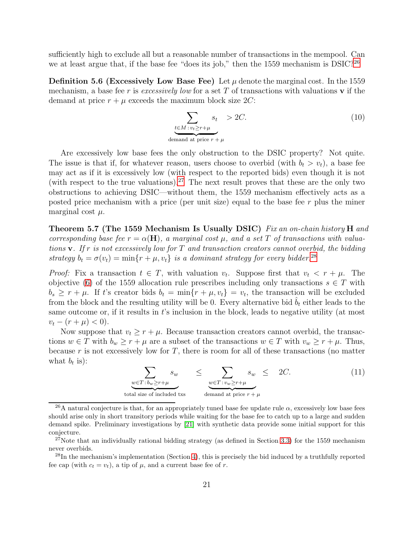<span id="page-20-1"></span>sufficiently high to exclude all but a reasonable number of transactions in the mempool. Can we at least argue that, if the base fee "does its job," then the 1559 mechanism is DSIC?<sup>26</sup>

**Definition 5.6 (Excessively Low Base Fee)** Let  $\mu$  denote the marginal cost. In the 1559 mechanism, a base fee r is excessively low for a set T of transactions with valuations  $\bf{v}$  if the demand at price  $r + \mu$  exceeds the maximum block size 2C:

$$
\sum_{\substack{t \in M : v_t \ge r + \mu \\ \text{ demand at price } r + \mu}} s_t > 2C.
$$
\n(10)

Are excessively low base fees the only obstruction to the DSIC property? Not quite. The issue is that if, for whatever reason, users choose to overbid (with  $b_t > v_t$ ), a base fee may act as if it is excessively low (with respect to the reported bids) even though it is not (with respect to the true valuations).<sup>27</sup> The next result proves that these are the only two obstructions to achieving DSIC—without them, the 1559 mechanism effectively acts as a posted price mechanism with a price (per unit size) equal to the base fee r plus the miner marginal cost  $\mu$ .

<span id="page-20-0"></span>Theorem 5.7 (The 1559 Mechanism Is Usually DSIC) Fix an on-chain history H and corresponding base fee  $r = \alpha(\mathbf{H})$ , a marginal cost  $\mu$ , and a set T of transactions with valuations  $\bf{v}$ . If r is not excessively low for T and transaction creators cannot overbid, the bidding strategy  $b_t = \sigma(v_t) = \min\{r + \mu, v_t\}$  is a dominant strategy for every bidder.<sup>28</sup>

*Proof:* Fix a transaction  $t \in T$ , with valuation  $v_t$ . Suppose first that  $v_t < r + \mu$ . The objective [\(6\)](#page-15-2) of the 1559 allocation rule prescribes including only transactions  $s \in T$  with  $b_s \geq r + \mu$ . If t's creator bids  $b_t = \min\{r + \mu, v_t\} = v_t$ , the transaction will be excluded from the block and the resulting utility will be 0. Every alternative bid  $b_t$  either leads to the same outcome or, if it results in t's inclusion in the block, leads to negative utility (at most  $v_t - (r + \mu) < 0$ .

Now suppose that  $v_t \geq r + \mu$ . Because transaction creators cannot overbid, the transactions  $w \in T$  with  $b_w \ge r + \mu$  are a subset of the transactions  $w \in T$  with  $v_w \ge r + \mu$ . Thus, because r is not excessively low for  $T$ , there is room for all of these transactions (no matter what  $b_t$  is):

$$
\sum_{\substack{w \in T : b_w \ge r + \mu \\ \text{total size of included txs}}} s_w \le \sum_{\substack{w \in T : v_w \ge r + \mu \\ \text{ demand at price } r + \mu}} s_w \le 2C. \tag{11}
$$

<sup>26</sup>A natural conjecture is that, for an appropriately tuned base fee update rule  $\alpha$ , excessively low base fees should arise only in short transitory periods while waiting for the base fee to catch up to a large and sudden demand spike. Preliminary investigations by [\[21\]](#page-28-6) with synthetic data provide some initial support for this conjecture.

<sup>&</sup>lt;sup>27</sup>Note that an individually rational bidding strategy (as defined in Section [3.3\)](#page-12-2) for the 1559 mechanism never overbids.

<sup>28</sup>In the mechanism's implementation (Section [4\)](#page-13-0), this is precisely the bid induced by a truthfully reported fee cap (with  $c_t = v_t$ ), a tip of  $\mu$ , and a current base fee of r.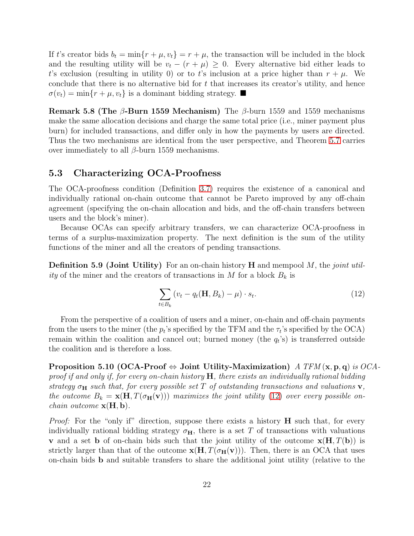If t's creator bids  $b_t = \min\{r + \mu, v_t\} = r + \mu$ , the transaction will be included in the block and the resulting utility will be  $v_t - (r + \mu) \geq 0$ . Every alternative bid either leads to t's exclusion (resulting in utility 0) or to t's inclusion at a price higher than  $r + \mu$ . We conclude that there is no alternative bid for  $t$  that increases its creator's utility, and hence  $\sigma(v_t) = \min\{r + \mu, v_t\}$  is a dominant bidding strategy.

<span id="page-21-2"></span>Remark 5.8 (The  $\beta$ -Burn 1559 Mechanism) The  $\beta$ -burn 1559 and 1559 mechanisms make the same allocation decisions and charge the same total price (i.e., miner payment plus burn) for included transactions, and differ only in how the payments by users are directed. Thus the two mechanisms are identical from the user perspective, and Theorem [5.7](#page-20-0) carries over immediately to all  $β$ -burn 1559 mechanisms.

#### <span id="page-21-0"></span>5.3 Characterizing OCA-Proofness

The OCA-proofness condition (Definition [3.7\)](#page-13-1) requires the existence of a canonical and individually rational on-chain outcome that cannot be Pareto improved by any off-chain agreement (specifying the on-chain allocation and bids, and the off-chain transfers between users and the block's miner).

Because OCAs can specify arbitrary transfers, we can characterize OCA-proofness in terms of a surplus-maximization property. The next definition is the sum of the utility functions of the miner and all the creators of pending transactions.

**Definition 5.9 (Joint Utility)** For an on-chain history  $H$  and mempool  $M$ , the *joint util*ity of the miner and the creators of transactions in M for a block  $B_k$  is

<span id="page-21-3"></span>
$$
\sum_{t \in B_k} \left( v_t - q_t(\mathbf{H}, B_k) - \mu \right) \cdot s_t.
$$
\n(12)

From the perspective of a coalition of users and a miner, on-chain and off-chain payments from the users to the miner (the  $p_t$ 's specified by the TFM and the  $\tau_t$ 's specified by the OCA) remain within the coalition and cancel out; burned money (the  $q_t$ 's) is transferred outside the coalition and is therefore a loss.

<span id="page-21-1"></span>Proposition 5.10 (OCA-Proof  $\Leftrightarrow$  Joint Utility-Maximization) A TFM (x, p, q) is OCAproof if and only if, for every on-chain history  $H$ , there exists an individually rational bidding strategy  $\sigma_{\mathbf{H}}$  such that, for every possible set T of outstanding transactions and valuations  $\mathbf{v}$ , the outcome  $B_k = \mathbf{x}(\mathbf{H}, T(\sigma_{\mathbf{H}}(\mathbf{v})))$  maximizes the joint utility [\(12\)](#page-21-3) over every possible on*chain outcome*  $\mathbf{x}(\mathbf{H}, \mathbf{b})$ .

*Proof:* For the "only if" direction, suppose there exists a history  $H$  such that, for every individually rational bidding strategy  $\sigma_{\rm H}$ , there is a set T of transactions with valuations **v** and a set **b** of on-chain bids such that the joint utility of the outcome  $\mathbf{x}(\mathbf{H}, T(\mathbf{b}))$  is strictly larger than that of the outcome  $\mathbf{x}(\mathbf{H}, T(\sigma_{\mathbf{H}}(\mathbf{v})))$ . Then, there is an OCA that uses on-chain bids b and suitable transfers to share the additional joint utility (relative to the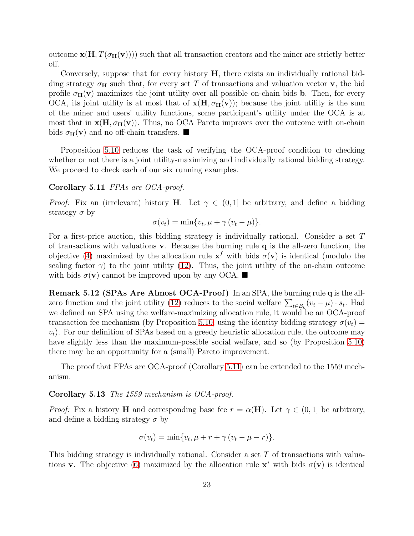outcome  $\mathbf{x}(\mathbf{H}, T(\sigma_{\mathbf{H}}(\mathbf{v}))))$  such that all transaction creators and the miner are strictly better off.

Conversely, suppose that for every history  $H$ , there exists an individually rational bidding strategy  $\sigma_{\mathbf{H}}$  such that, for every set T of transactions and valuation vector **v**, the bid profile  $\sigma_H(\mathbf{v})$  maximizes the joint utility over all possible on-chain bids **b**. Then, for every OCA, its joint utility is at most that of  $\mathbf{x}(\mathbf{H}, \sigma_{\mathbf{H}}(\mathbf{v}))$ ; because the joint utility is the sum of the miner and users' utility functions, some participant's utility under the OCA is at most that in  $\mathbf{x}(\mathbf{H}, \sigma_{\mathbf{H}}(\mathbf{v}))$ . Thus, no OCA Pareto improves over the outcome with on-chain bids  $\sigma_{\mathbf{H}}(\mathbf{v})$  and no off-chain transfers.

<span id="page-22-0"></span>Proposition [5.10](#page-21-1) reduces the task of verifying the OCA-proof condition to checking whether or not there is a joint utility-maximizing and individually rational bidding strategy. We proceed to check each of our six running examples.

#### Corollary 5.11 FPAs are OCA-proof.

*Proof:* Fix an (irrelevant) history **H**. Let  $\gamma \in (0,1]$  be arbitrary, and define a bidding strategy  $\sigma$  by

$$
\sigma(v_t) = \min\{v_t, \mu + \gamma(v_t - \mu)\}.
$$

For a first-price auction, this bidding strategy is individually rational. Consider a set T of transactions with valuations v. Because the burning rule q is the all-zero function, the objective [\(4\)](#page-11-2) maximized by the allocation rule  $x^f$  with bids  $\sigma(v)$  is identical (modulo the scaling factor  $\gamma$ ) to the joint utility [\(12\)](#page-21-3). Thus, the joint utility of the on-chain outcome with bids  $\sigma(\mathbf{v})$  cannot be improved upon by any OCA.

<span id="page-22-2"></span>Remark 5.12 (SPAs Are Almost OCA-Proof) In an SPA, the burning rule q is the all-zero function and the joint utility [\(12\)](#page-21-3) reduces to the social welfare  $\sum_{t\in B_k}(v_t-\mu)\cdot s_t$ . Had we defined an SPA using the welfare-maximizing allocation rule, it would be an OCA-proof transaction fee mechanism (by Proposition [5.10,](#page-21-1) using the identity bidding strategy  $\sigma(v_t)$  =  $v_t$ ). For our definition of SPAs based on a greedy heuristic allocation rule, the outcome may have slightly less than the maximum-possible social welfare, and so (by Proposition [5.10\)](#page-21-1) there may be an opportunity for a (small) Pareto improvement.

<span id="page-22-1"></span>The proof that FPAs are OCA-proof (Corollary [5.11\)](#page-22-0) can be extended to the 1559 mechanism.

#### Corollary 5.13 The 1559 mechanism is OCA-proof.

*Proof:* Fix a history **H** and corresponding base fee  $r = \alpha(\mathbf{H})$ . Let  $\gamma \in (0, 1]$  be arbitrary, and define a bidding strategy  $\sigma$  by

$$
\sigma(v_t) = \min\{v_t, \mu + r + \gamma(v_t - \mu - r)\}.
$$

This bidding strategy is individually rational. Consider a set T of transactions with valua-tions v. The objective [\(6\)](#page-15-2) maximized by the allocation rule  $\mathbf{x}^*$  with bids  $\sigma(\mathbf{v})$  is identical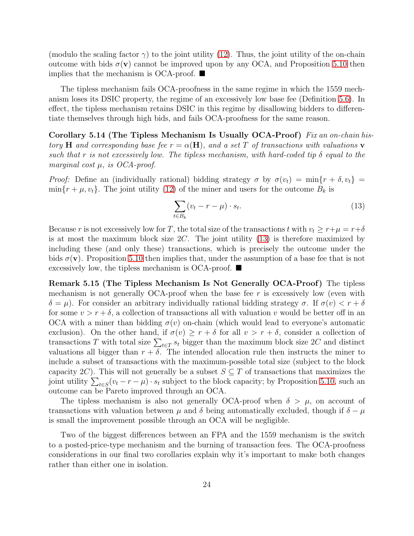(modulo the scaling factor  $\gamma$ ) to the joint utility [\(12\)](#page-21-3). Thus, the joint utility of the on-chain outcome with bids  $\sigma(\mathbf{v})$  cannot be improved upon by any OCA, and Proposition [5.10](#page-21-1) then implies that the mechanism is OCA-proof.  $\blacksquare$ 

The tipless mechanism fails OCA-proofness in the same regime in which the 1559 mechanism loses its DSIC property, the regime of an excessively low base fee (Definition [5.6\)](#page-20-1). In effect, the tipless mechanism retains DSIC in this regime by disallowing bidders to differentiate themselves through high bids, and fails OCA-proofness for the same reason.

Corollary 5.14 (The Tipless Mechanism Is Usually OCA-Proof) Fix an on-chain history H and corresponding base fee  $r = \alpha(H)$ , and a set T of transactions with valuations v such that r is not excessively low. The tipless mechanism, with hard-coded tip  $\delta$  equal to the marginal cost  $\mu$ , is OCA-proof.

Proof: Define an (individually rational) bidding strategy  $\sigma$  by  $\sigma(v_t) = \min\{r + \delta, v_t\}$  $\min\{r + \mu, v_t\}.$  The joint utility [\(12\)](#page-21-3) of the miner and users for the outcome  $B_k$  is

<span id="page-23-3"></span><span id="page-23-0"></span>
$$
\sum_{t \in B_k} (v_t - r - \mu) \cdot s_t. \tag{13}
$$

Because r is not excessively low for T, the total size of the transactions t with  $v_t \ge r+\mu = r+\delta$ is at most the maximum block size  $2C$ . The joint utility  $(13)$  is therefore maximized by including these (and only these) transactions, which is precisely the outcome under the bids  $\sigma(\mathbf{v})$ . Proposition [5.10](#page-21-1) then implies that, under the assumption of a base fee that is not excessively low, the tipless mechanism is OCA-proof.  $\blacksquare$ 

<span id="page-23-1"></span>Remark 5.15 (The Tipless Mechanism Is Not Generally OCA-Proof) The tipless mechanism is not generally OCA-proof when the base fee  $r$  is excessively low (even with  $\delta = \mu$ ). For consider an arbitrary individually rational bidding strategy  $\sigma$ . If  $\sigma(v) < r + \delta$ for some  $v > r + \delta$ , a collection of transactions all with valuation v would be better off in an OCA with a miner than bidding  $\sigma(v)$  on-chain (which would lead to everyone's automatic exclusion). On the other hand, if  $\sigma(v) \geq r + \delta$  for all  $v > r + \delta$ , consider a collection of transactions T with total size  $\sum_{t \in T} s_t$  bigger than the maximum block size 2C and distinct valuations all bigger than  $r + \delta$ . The intended allocation rule then instructs the miner to include a subset of transactions with the maximum-possible total size (subject to the block capacity 2C). This will not generally be a subset  $S \subseteq T$  of transactions that maximizes the joint utility  $\sum_{t \in S} (v_t - r - \mu) \cdot s_t$  subject to the block capacity; by Proposition [5.10,](#page-21-1) such an outcome can be Pareto improved through an OCA.

The tipless mechanism is also not generally OCA-proof when  $\delta > \mu$ , on account of transactions with valuation between  $\mu$  and  $\delta$  being automatically excluded, though if  $\delta - \mu$ is small the improvement possible through an OCA will be negligible.

<span id="page-23-2"></span>Two of the biggest differences between an FPA and the 1559 mechanism is the switch to a posted-price-type mechanism and the burning of transaction fees. The OCA-proofness considerations in our final two corollaries explain why it's important to make both changes rather than either one in isolation.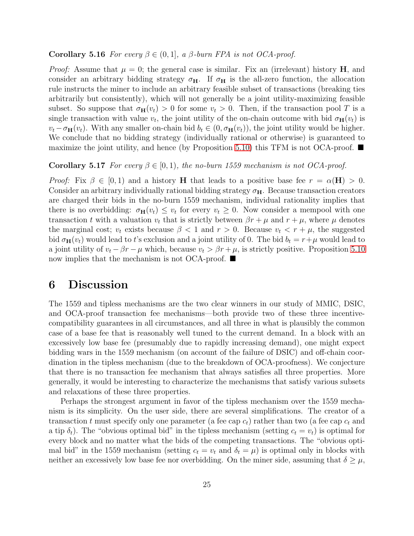#### **Corollary 5.16** For every  $\beta \in (0,1]$ , a  $\beta$ -burn FPA is not OCA-proof.

*Proof:* Assume that  $\mu = 0$ ; the general case is similar. Fix an (irrelevant) history **H**, and consider an arbitrary bidding strategy  $\sigma_{\text{H}}$ . If  $\sigma_{\text{H}}$  is the all-zero function, the allocation rule instructs the miner to include an arbitrary feasible subset of transactions (breaking ties arbitrarily but consistently), which will not generally be a joint utility-maximizing feasible subset. So suppose that  $\sigma_{\mathbf{H}}(v_t) > 0$  for some  $v_t > 0$ . Then, if the transaction pool T is a single transaction with value  $v_t$ , the joint utility of the on-chain outcome with bid  $\sigma_H(v_t)$  is  $v_t - \sigma_H(v_t)$ . With any smaller on-chain bid  $b_t \in (0, \sigma_H(v_t))$ , the joint utility would be higher. We conclude that no bidding strategy (individually rational or otherwise) is guaranteed to maximize the joint utility, and hence (by Proposition [5.10\)](#page-21-1) this TFM is not OCA-proof.  $\blacksquare$ 

#### <span id="page-24-0"></span>**Corollary 5.17** For every  $\beta \in [0, 1)$ , the no-burn 1559 mechanism is not OCA-proof.

*Proof:* Fix  $\beta \in [0, 1)$  and a history **H** that leads to a positive base fee  $r = \alpha(\mathbf{H}) > 0$ . Consider an arbitrary individually rational bidding strategy  $\sigma_{\text{H}}$ . Because transaction creators are charged their bids in the no-burn 1559 mechanism, individual rationality implies that there is no overbidding:  $\sigma_{\mathbf{H}}(v_t) \leq v_t$  for every  $v_t \geq 0$ . Now consider a mempool with one transaction t with a valuation  $v_t$  that is strictly between  $\beta r + \mu$  and  $r + \mu$ , where  $\mu$  denotes the marginal cost;  $v_t$  exists because  $\beta < 1$  and  $r > 0$ . Because  $v_t < r + \mu$ , the suggested bid  $\sigma_{\mathbf{H}}(v_t)$  would lead to t's exclusion and a joint utility of 0. The bid  $b_t = r + \mu$  would lead to a joint utility of  $v_t - \beta r - \mu$  which, because  $v_t > \beta r + \mu$ , is strictly positive. Proposition [5.10](#page-21-1) now implies that the mechanism is not OCA-proof.  $\blacksquare$ 

## <span id="page-24-1"></span>6 Discussion

The 1559 and tipless mechanisms are the two clear winners in our study of MMIC, DSIC, and OCA-proof transaction fee mechanisms—both provide two of these three incentivecompatibility guarantees in all circumstances, and all three in what is plausibly the common case of a base fee that is reasonably well tuned to the current demand. In a block with an excessively low base fee (presumably due to rapidly increasing demand), one might expect bidding wars in the 1559 mechanism (on account of the failure of DSIC) and off-chain coordination in the tipless mechanism (due to the breakdown of OCA-proofness). We conjecture that there is no transaction fee mechanism that always satisfies all three properties. More generally, it would be interesting to characterize the mechanisms that satisfy various subsets and relaxations of these three properties.

Perhaps the strongest argument in favor of the tipless mechanism over the 1559 mechanism is its simplicity. On the user side, there are several simplifications. The creator of a transaction t must specify only one parameter (a fee cap  $c_t$ ) rather than two (a fee cap  $c_t$  and a tip  $\delta_t$ ). The "obvious optimal bid" in the tipless mechanism (setting  $c_t = v_t$ ) is optimal for every block and no matter what the bids of the competing transactions. The "obvious optimal bid" in the 1559 mechanism (setting  $c_t = v_t$  and  $\delta_t = \mu$ ) is optimal only in blocks with neither an excessively low base fee nor overbidding. On the miner side, assuming that  $\delta \geq \mu$ ,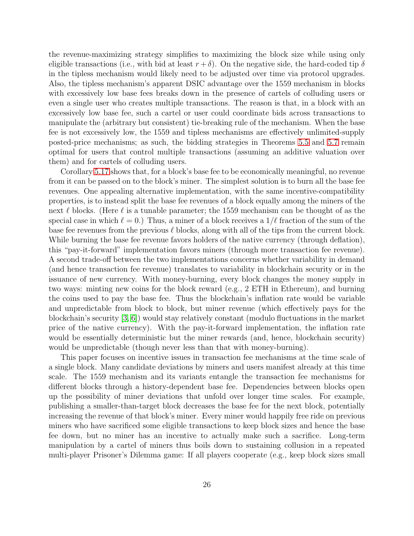the revenue-maximizing strategy simplifies to maximizing the block size while using only eligible transactions (i.e., with bid at least  $r + \delta$ ). On the negative side, the hard-coded tip  $\delta$ in the tipless mechanism would likely need to be adjusted over time via protocol upgrades. Also, the tipless mechanism's apparent DSIC advantage over the 1559 mechanism in blocks with excessively low base fees breaks down in the presence of cartels of colluding users or even a single user who creates multiple transactions. The reason is that, in a block with an excessively low base fee, such a cartel or user could coordinate bids across transactions to manipulate the (arbitrary but consistent) tie-breaking rule of the mechanism. When the base fee is not excessively low, the 1559 and tipless mechanisms are effectively unlimited-supply posted-price mechanisms; as such, the bidding strategies in Theorems [5.5](#page-19-1) and [5.7](#page-20-0) remain optimal for users that control multiple transactions (assuming an additive valuation over them) and for cartels of colluding users.

Corollary [5.17](#page-24-0) shows that, for a block's base fee to be economically meaningful, no revenue from it can be passed on to the block's miner. The simplest solution is to burn all the base fee revenues. One appealing alternative implementation, with the same incentive-compatibility properties, is to instead split the base fee revenues of a block equally among the miners of the next  $\ell$  blocks. (Here  $\ell$  is a tunable parameter; the 1559 mechanism can be thought of as the special case in which  $\ell = 0$ .) Thus, a miner of a block receives a  $1/\ell$  fraction of the sum of the base fee revenues from the previous  $\ell$  blocks, along with all of the tips from the current block. While burning the base fee revenue favors holders of the native currency (through deflation), this "pay-it-forward" implementation favors miners (through more transaction fee revenue). A second trade-off between the two implementations concerns whether variability in demand (and hence transaction fee revenue) translates to variability in blockchain security or in the issuance of new currency. With money-burning, every block changes the money supply in two ways: minting new coins for the block reward (e.g., 2 ETH in Ethereum), and burning the coins used to pay the base fee. Thus the blockchain's inflation rate would be variable and unpredictable from block to block, but miner revenue (which effectively pays for the blockchain's security [\[3,](#page-26-7) [6\]](#page-26-8)) would stay relatively constant (modulo fluctuations in the market price of the native currency). With the pay-it-forward implementation, the inflation rate would be essentially deterministic but the miner rewards (and, hence, blockchain security) would be unpredictable (though never less than that with money-burning).

This paper focuses on incentive issues in transaction fee mechanisms at the time scale of a single block. Many candidate deviations by miners and users manifest already at this time scale. The 1559 mechanism and its variants entangle the transaction fee mechanisms for different blocks through a history-dependent base fee. Dependencies between blocks open up the possibility of miner deviations that unfold over longer time scales. For example, publishing a smaller-than-target block decreases the base fee for the next block, potentially increasing the revenue of that block's miner. Every miner would happily free ride on previous miners who have sacrificed some eligible transactions to keep block sizes and hence the base fee down, but no miner has an incentive to actually make such a sacrifice. Long-term manipulation by a cartel of miners thus boils down to sustaining collusion in a repeated multi-player Prisoner's Dilemma game: If all players cooperate (e.g., keep block sizes small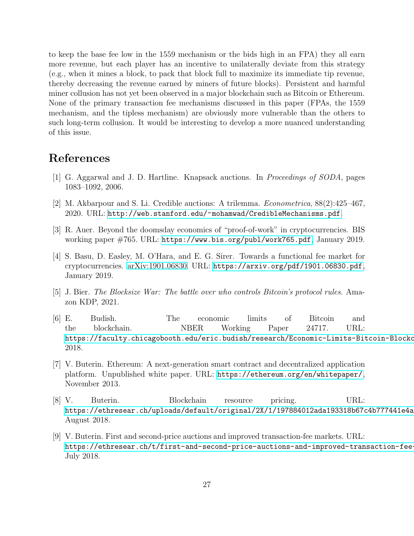to keep the base fee low in the 1559 mechanism or the bids high in an FPA) they all earn more revenue, but each player has an incentive to unilaterally deviate from this strategy (e.g., when it mines a block, to pack that block full to maximize its immediate tip revenue, thereby decreasing the revenue earned by miners of future blocks). Persistent and harmful miner collusion has not yet been observed in a major blockchain such as Bitcoin or Ethereum. None of the primary transaction fee mechanisms discussed in this paper (FPAs, the 1559 mechanism, and the tipless mechanism) are obviously more vulnerable than the others to such long-term collusion. It would be interesting to develop a more nuanced understanding of this issue.

# <span id="page-26-6"></span>References

- <span id="page-26-5"></span>[1] G. Aggarwal and J. D. Hartline. Knapsack auctions. In Proceedings of SODA, pages 1083–1092, 2006.
- <span id="page-26-7"></span>[2] M. Akbarpour and S. Li. Credible auctions: A trilemma. Econometrica, 88(2):425–467, 2020. URL: <http://web.stanford.edu/~mohamwad/CredibleMechanisms.pdf>.
- <span id="page-26-4"></span>[3] R. Auer. Beyond the doomsday economics of "proof-of-work" in cryptocurrencies. BIS working paper #765. URL: <https://www.bis.org/publ/work765.pdf>, January 2019.
- [4] S. Basu, D. Easley, M. O'Hara, and E. G. Sirer. Towards a functional fee market for cryptocurrencies. [arXiv:1901.06830.](http://arxiv.org/abs/1901.06830) URL: <https://arxiv.org/pdf/1901.06830.pdf>, January 2019.
- <span id="page-26-8"></span><span id="page-26-3"></span>[5] J. Bier. The Blocksize War: The battle over who controls Bitcoin's protocol rules. Amazon KDP, 2021.
- [6] E. Budish. The economic limits of Bitcoin and the blockchain. NBER Working Paper 24717. URL: https://faculty.chicagobooth.edu/eric.budish/research/Economic-Limits-Bitcoin-Blockc 2018.
- <span id="page-26-0"></span>[7] V. Buterin. Ethereum: A next-generation smart contract and decentralized application platform. Unpublished white paper. URL: <https://ethereum.org/en/whitepaper/>, November 2013.
- <span id="page-26-1"></span>[8] V. Buterin. Blockchain resource pricing. URL: https://ethresear.ch/uploads/default/original/2X/1/197884012ada193318b67c4b777441e4a August 2018.
- <span id="page-26-2"></span>[9] V. Buterin. First and second-price auctions and improved transaction-fee markets. URL: https://ethresear.ch/t/first-and-second-price-auctions-and-improved-transaction-fee-July 2018.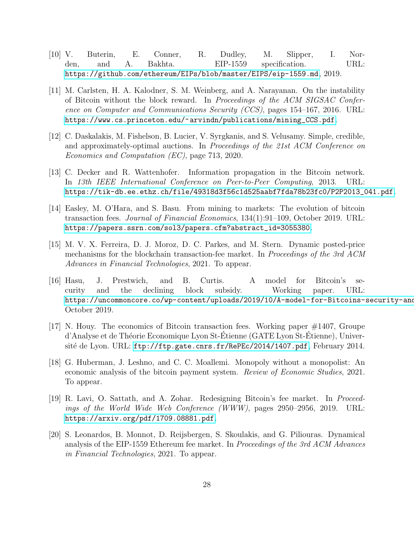- <span id="page-27-0"></span>[10] V. Buterin, E. Conner, R. Dudley, M. Slipper, I. Norden, and A. Bakhta. EIP-1559 specification. URL: <https://github.com/ethereum/EIPs/blob/master/EIPS/eip-1559.md>, 2019.
- <span id="page-27-1"></span>[11] M. Carlsten, H. A. Kalodner, S. M. Weinberg, and A. Narayanan. On the instability of Bitcoin without the block reward. In Proceedings of the ACM SIGSAC Conference on Computer and Communications Security (CCS), pages 154–167, 2016. URL: [https://www.cs.princeton.edu/~arvindn/publications/mining\\_CCS.pdf](https://www.cs.princeton.edu/~arvindn/publications/mining_CCS.pdf).
- <span id="page-27-7"></span>[12] C. Daskalakis, M. Fishelson, B. Lucier, V. Syrgkanis, and S. Velusamy. Simple, credible, and approximately-optimal auctions. In Proceedings of the 21st ACM Conference on Economics and Computation (EC), page 713, 2020.
- <span id="page-27-8"></span>[13] C. Decker and R. Wattenhofer. Information propagation in the Bitcoin network. In 13th IEEE International Conference on Peer-to-Peer Computing, 2013. URL: [https://tik-db.ee.ethz.ch/file/49318d3f56c1d525aabf7fda78b23fc0/P2P2013\\_041.pdf](https://tik-db.ee.ethz.ch/file/49318d3f56c1d525aabf7fda78b23fc0/P2P2013_041.pdf).
- <span id="page-27-4"></span>[14] Easley, M. O'Hara, and S. Basu. From mining to markets: The evolution of bitcoin transaction fees. Journal of Financial Economics, 134(1):91–109, October 2019. URL: [https://papers.ssrn.com/sol3/papers.cfm?abstract\\_id=3055380](https://papers.ssrn.com/sol3/papers.cfm?abstract_id=3055380).
- <span id="page-27-10"></span>[15] M. V. X. Ferreira, D. J. Moroz, D. C. Parkes, and M. Stern. Dynamic posted-price mechanisms for the blockchain transaction-fee market. In *Proceedings of the 3rd ACM* Advances in Financial Technologies, 2021. To appear.
- <span id="page-27-2"></span>[16] Hasu, J. Prestwich, and B. Curtis. A model for Bitcoin's security and the declining block subsidy. Working paper. URL: https://uncommoncore.co/wp-content/uploads/2019/10/A-model-for-Bitcoins-security-and-October 2019.
- <span id="page-27-3"></span>[17] N. Houy. The economics of Bitcoin transaction fees. Working paper #1407, Groupe d'Analyse et de Théorie Economique Lyon St-Etienne (GATE Lyon St-Etienne), Université de Lyon. URL: <ftp://ftp.gate.cnrs.fr/RePEc/2014/1407.pdf>, February 2014.
- <span id="page-27-5"></span>[18] G. Huberman, J. Leshno, and C. C. Moallemi. Monopoly without a monopolist: An economic analysis of the bitcoin payment system. Review of Economic Studies, 2021. To appear.
- <span id="page-27-6"></span>[19] R. Lavi, O. Sattath, and A. Zohar. Redesigning Bitcoin's fee market. In Proceedings of the World Wide Web Conference (WWW), pages 2950–2956, 2019. URL: <https://arxiv.org/pdf/1709.08881.pdf>.
- <span id="page-27-9"></span>[20] S. Leonardos, B. Monnot, D. Reijsbergen, S. Skoulakis, and G. Piliouras. Dynamical analysis of the EIP-1559 Ethereum fee market. In Proceedings of the 3rd ACM Advances in Financial Technologies, 2021. To appear.